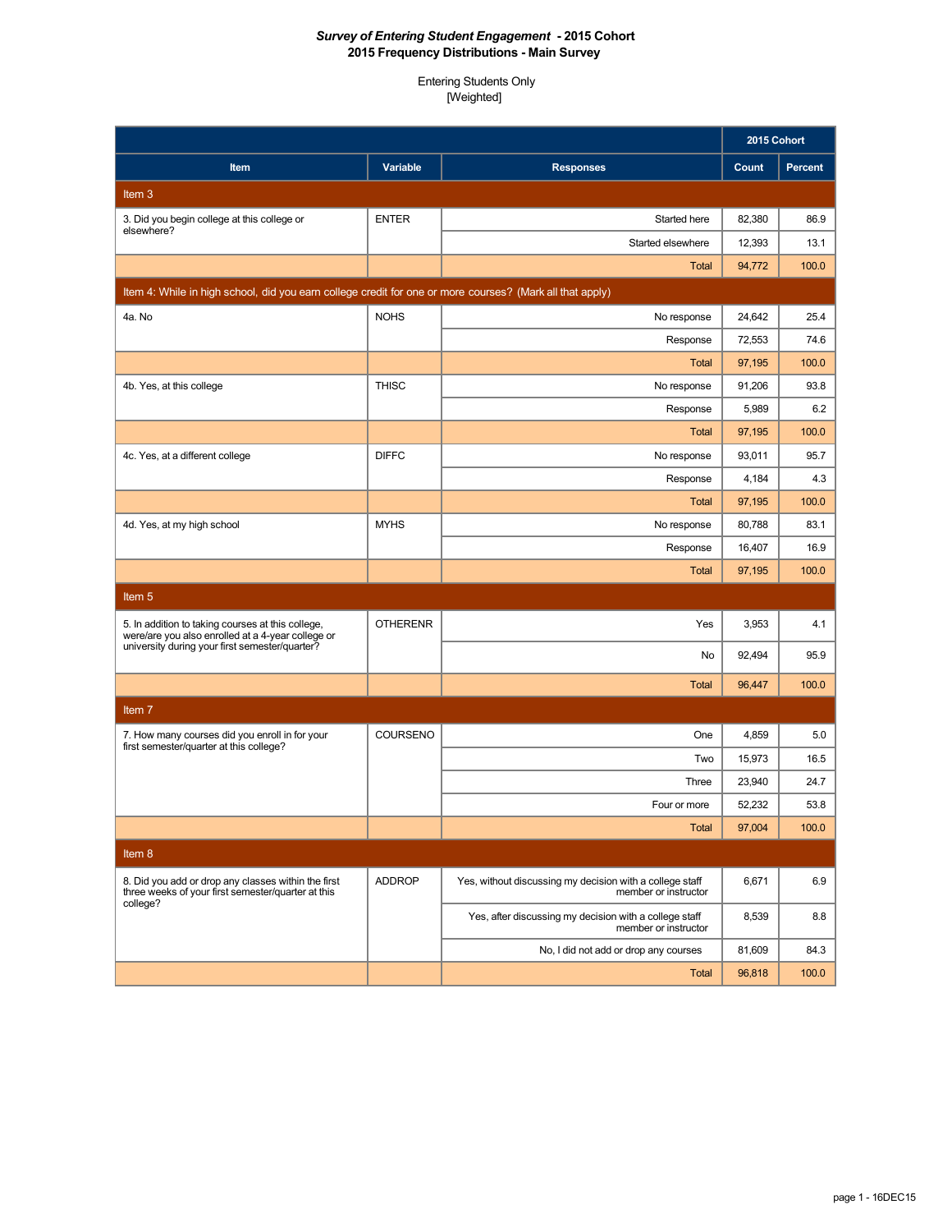|                                                                                                           |                 |                                                                                  | 2015 Cohort |                |
|-----------------------------------------------------------------------------------------------------------|-----------------|----------------------------------------------------------------------------------|-------------|----------------|
| Item                                                                                                      | Variable        | <b>Responses</b>                                                                 | Count       | <b>Percent</b> |
| Item $3$                                                                                                  |                 |                                                                                  |             |                |
| 3. Did you begin college at this college or                                                               | <b>ENTER</b>    | Started here                                                                     | 82,380      | 86.9           |
| elsewhere?                                                                                                |                 | Started elsewhere                                                                | 12,393      | 13.1           |
|                                                                                                           |                 | <b>Total</b>                                                                     | 94,772      | 100.0          |
| Item 4: While in high school, did you earn college credit for one or more courses? (Mark all that apply)  |                 |                                                                                  |             |                |
| 4a. No                                                                                                    | <b>NOHS</b>     | No response                                                                      | 24,642      | 25.4           |
|                                                                                                           |                 | Response                                                                         | 72,553      | 74.6           |
|                                                                                                           |                 | <b>Total</b>                                                                     | 97,195      | 100.0          |
| 4b. Yes, at this college                                                                                  | <b>THISC</b>    | No response                                                                      | 91,206      | 93.8           |
|                                                                                                           |                 | Response                                                                         | 5,989       | 6.2            |
|                                                                                                           |                 | <b>Total</b>                                                                     | 97,195      | 100.0          |
| 4c. Yes, at a different college                                                                           | <b>DIFFC</b>    | No response                                                                      | 93,011      | 95.7           |
|                                                                                                           |                 | Response                                                                         | 4,184       | 4.3            |
|                                                                                                           |                 | <b>Total</b>                                                                     | 97,195      | 100.0          |
| 4d. Yes, at my high school                                                                                | <b>MYHS</b>     | No response                                                                      | 80,788      | 83.1           |
|                                                                                                           |                 | Response                                                                         | 16,407      | 16.9           |
|                                                                                                           |                 | Total                                                                            | 97,195      | 100.0          |
| Item <sub>5</sub>                                                                                         |                 |                                                                                  |             |                |
| 5. In addition to taking courses at this college,<br>were/are you also enrolled at a 4-year college or    | <b>OTHERENR</b> | Yes                                                                              | 3,953       | 4.1            |
| university during your first semester/quarter?                                                            |                 | No                                                                               | 92,494      | 95.9           |
|                                                                                                           |                 | <b>Total</b>                                                                     | 96,447      | 100.0          |
| Item 7                                                                                                    |                 |                                                                                  |             |                |
| 7. How many courses did you enroll in for your                                                            | COURSENO        | One                                                                              | 4,859       | 5.0            |
| first semester/quarter at this college?                                                                   |                 | Two                                                                              | 15,973      | 16.5           |
|                                                                                                           |                 | Three                                                                            | 23,940      | 24.7           |
|                                                                                                           |                 | Four or more                                                                     | 52,232      | 53.8           |
|                                                                                                           |                 | <b>Total</b>                                                                     | 97,004      | 100.0          |
| Item 8                                                                                                    |                 |                                                                                  |             |                |
| 8. Did you add or drop any classes within the first<br>three weeks of your first semester/quarter at this | <b>ADDROP</b>   | Yes, without discussing my decision with a college staff<br>member or instructor | 6,671       | 6.9            |
| college?                                                                                                  |                 | Yes, after discussing my decision with a college staff<br>member or instructor   | 8,539       | 8.8            |
|                                                                                                           |                 | No, I did not add or drop any courses                                            | 81,609      | 84.3           |
|                                                                                                           |                 | Total                                                                            | 96,818      | 100.0          |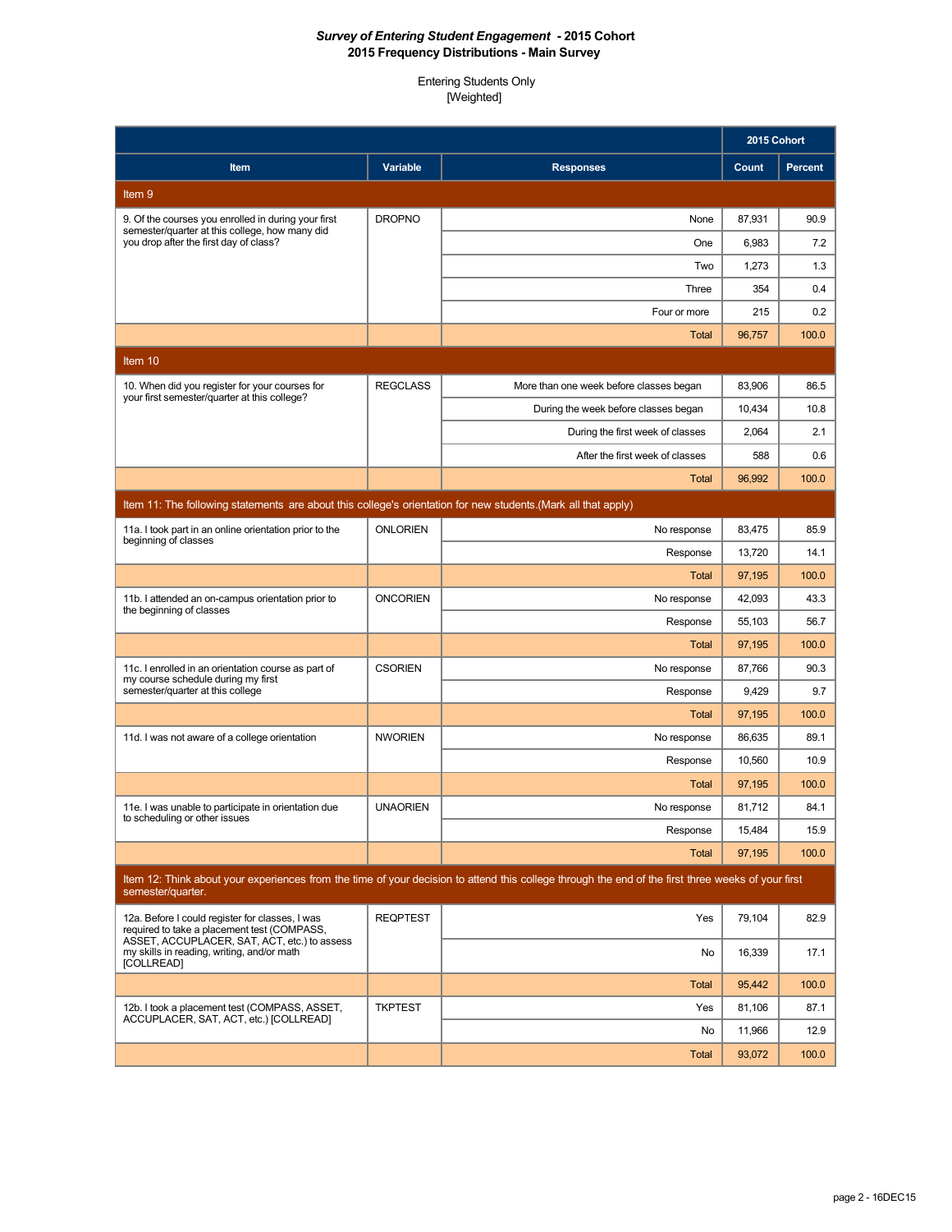|                                                                                                               |                 |                                                                                                                                                    | 2015 Cohort      |                |
|---------------------------------------------------------------------------------------------------------------|-----------------|----------------------------------------------------------------------------------------------------------------------------------------------------|------------------|----------------|
| Item                                                                                                          | Variable        | <b>Responses</b>                                                                                                                                   | Count            | <b>Percent</b> |
| Item 9                                                                                                        |                 |                                                                                                                                                    |                  |                |
| 9. Of the courses you enrolled in during your first                                                           | <b>DROPNO</b>   | None                                                                                                                                               | 87,931           | 90.9           |
| semester/quarter at this college, how many did<br>you drop after the first day of class?                      |                 | One                                                                                                                                                | 6,983            | 7.2            |
|                                                                                                               |                 | Two                                                                                                                                                | 1,273            | 1.3            |
|                                                                                                               |                 | Three                                                                                                                                              | 354              | 0.4            |
|                                                                                                               |                 | Four or more                                                                                                                                       | 215              | 0.2            |
|                                                                                                               |                 | <b>Total</b>                                                                                                                                       | 96,757           | 100.0          |
| Item 10                                                                                                       |                 |                                                                                                                                                    |                  |                |
| 10. When did you register for your courses for<br>your first semester/quarter at this college?                | <b>REGCLASS</b> | More than one week before classes began                                                                                                            | 83,906           | 86.5           |
|                                                                                                               |                 | During the week before classes began                                                                                                               | 10,434           | 10.8           |
|                                                                                                               |                 | During the first week of classes                                                                                                                   | 2,064            | 2.1            |
|                                                                                                               |                 | After the first week of classes                                                                                                                    | 588              | 0.6            |
|                                                                                                               |                 | Total                                                                                                                                              | 96,992           | 100.0          |
| Item 11: The following statements are about this college's orientation for new students.(Mark all that apply) |                 |                                                                                                                                                    |                  |                |
| 11a. I took part in an online orientation prior to the<br>beginning of classes                                | <b>ONLORIEN</b> | No response                                                                                                                                        | 83,475           | 85.9           |
|                                                                                                               |                 | Response                                                                                                                                           | 13,720           | 14.1           |
|                                                                                                               |                 | Total                                                                                                                                              | 97,195           | 100.0          |
| 11b. I attended an on-campus orientation prior to<br>the beginning of classes                                 | <b>ONCORIEN</b> | No response                                                                                                                                        | 42,093           | 43.3           |
|                                                                                                               |                 | Response                                                                                                                                           | 55,103           | 56.7           |
|                                                                                                               |                 | <b>Total</b>                                                                                                                                       | 97,195           | 100.0          |
| 11c. I enrolled in an orientation course as part of<br>my course schedule during my first                     | <b>CSORIEN</b>  | No response                                                                                                                                        | 87,766           | 90.3           |
| semester/quarter at this college                                                                              |                 | Response                                                                                                                                           | 9,429            | 9.7            |
|                                                                                                               |                 | <b>Total</b>                                                                                                                                       | 97,195           | 100.0          |
| 11d. I was not aware of a college orientation                                                                 | <b>NWORIEN</b>  | No response                                                                                                                                        | 86,635           | 89.1           |
|                                                                                                               |                 | Response                                                                                                                                           | 10,560           | 10.9           |
|                                                                                                               | <b>UNAORIEN</b> | <b>Total</b>                                                                                                                                       | 97,195           | 100.0          |
| 11e. I was unable to participate in orientation due<br>to scheduling or other issues                          |                 | No response<br>Response                                                                                                                            | 81,712<br>15,484 | 84.1<br>15.9   |
|                                                                                                               |                 | <b>Total</b>                                                                                                                                       | 97,195           | 100.0          |
|                                                                                                               |                 | Item 12: Think about your experiences from the time of your decision to attend this college through the end of the first three weeks of your first |                  |                |
| semester/quarter.                                                                                             |                 |                                                                                                                                                    |                  |                |
| 12a. Before I could register for classes, I was<br>required to take a placement test (COMPASS,                | <b>REQPTEST</b> | Yes                                                                                                                                                | 79,104           | 82.9           |
| ASSET, ACCUPLACER, SAT, ACT, etc.) to assess<br>my skills in reading, writing, and/or math<br>[COLLREAD]      |                 | No                                                                                                                                                 | 16,339           | 17.1           |
|                                                                                                               |                 | <b>Total</b>                                                                                                                                       | 95,442           | 100.0          |
| 12b. I took a placement test (COMPASS, ASSET,<br>ACCUPLACER, SAT, ACT, etc.) [COLLREAD]                       | <b>TKPTEST</b>  | Yes                                                                                                                                                | 81,106           | 87.1           |
|                                                                                                               |                 | No                                                                                                                                                 | 11,966           | 12.9           |
|                                                                                                               |                 | <b>Total</b>                                                                                                                                       | 93,072           | 100.0          |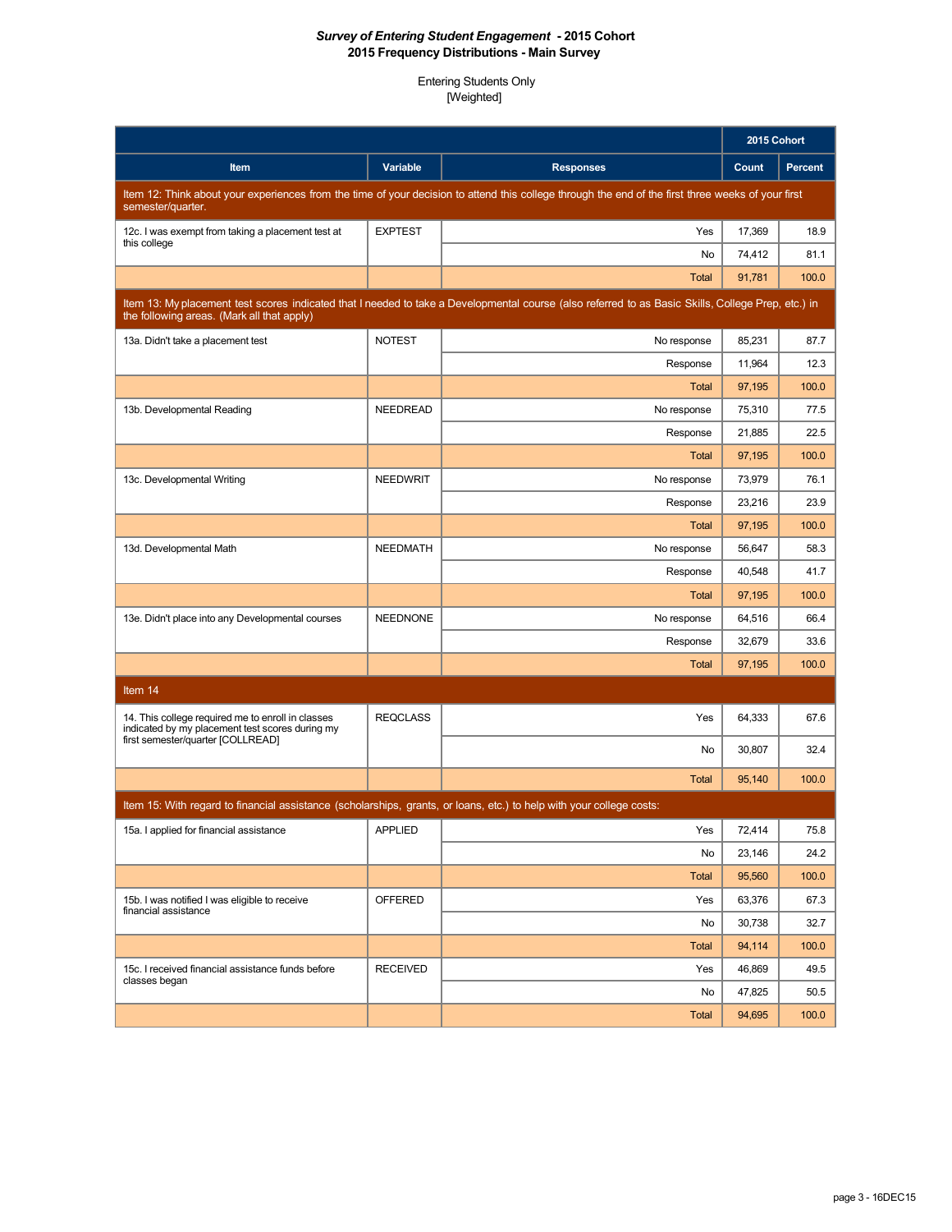|                                                                                                                      |                 |                                                                                                                                                    | 2015 Cohort |         |
|----------------------------------------------------------------------------------------------------------------------|-----------------|----------------------------------------------------------------------------------------------------------------------------------------------------|-------------|---------|
| Item                                                                                                                 | Variable        | <b>Responses</b>                                                                                                                                   | Count       | Percent |
| semester/quarter.                                                                                                    |                 | Item 12: Think about your experiences from the time of your decision to attend this college through the end of the first three weeks of your first |             |         |
| 12c. I was exempt from taking a placement test at<br>this college                                                    | <b>EXPTEST</b>  | Yes                                                                                                                                                | 17,369      | 18.9    |
|                                                                                                                      |                 | No                                                                                                                                                 | 74,412      | 81.1    |
|                                                                                                                      |                 | <b>Total</b>                                                                                                                                       | 91,781      | 100.0   |
| the following areas. (Mark all that apply)                                                                           |                 | Item 13: My placement test scores indicated that I needed to take a Developmental course (also referred to as Basic Skills, College Prep, etc.) in |             |         |
| 13a. Didn't take a placement test                                                                                    | <b>NOTEST</b>   | No response                                                                                                                                        | 85,231      | 87.7    |
|                                                                                                                      |                 | Response                                                                                                                                           | 11,964      | 12.3    |
|                                                                                                                      |                 | <b>Total</b>                                                                                                                                       | 97,195      | 100.0   |
| 13b. Developmental Reading                                                                                           | <b>NEEDREAD</b> | No response                                                                                                                                        | 75,310      | 77.5    |
|                                                                                                                      |                 | Response                                                                                                                                           | 21,885      | 22.5    |
|                                                                                                                      |                 | Total                                                                                                                                              | 97,195      | 100.0   |
| 13c. Developmental Writing                                                                                           | <b>NEEDWRIT</b> | No response                                                                                                                                        | 73.979      | 76.1    |
|                                                                                                                      |                 | Response                                                                                                                                           | 23,216      | 23.9    |
|                                                                                                                      |                 | Total                                                                                                                                              | 97,195      | 100.0   |
| 13d. Developmental Math                                                                                              | <b>NEEDMATH</b> | No response                                                                                                                                        | 56,647      | 58.3    |
|                                                                                                                      |                 | Response                                                                                                                                           | 40,548      | 41.7    |
|                                                                                                                      |                 | <b>Total</b>                                                                                                                                       | 97,195      | 100.0   |
| 13e. Didn't place into any Developmental courses                                                                     | <b>NEEDNONE</b> | No response                                                                                                                                        | 64,516      | 66.4    |
|                                                                                                                      |                 | Response                                                                                                                                           | 32,679      | 33.6    |
|                                                                                                                      |                 | <b>Total</b>                                                                                                                                       | 97,195      | 100.0   |
| Item 14                                                                                                              |                 |                                                                                                                                                    |             |         |
| 14. This college required me to enroll in classes<br>indicated by my placement test scores during my                 | <b>REQCLASS</b> | Yes                                                                                                                                                | 64,333      | 67.6    |
| first semester/quarter [COLLREAD]                                                                                    |                 | No                                                                                                                                                 | 30,807      | 32.4    |
|                                                                                                                      |                 | <b>Total</b>                                                                                                                                       | 95,140      | 100.0   |
| Item 15: With regard to financial assistance (scholarships, grants, or loans, etc.) to help with your college costs: |                 |                                                                                                                                                    |             |         |
| 15a. I applied for financial assistance                                                                              | <b>APPLIED</b>  | Yes                                                                                                                                                | 72,414      | 75.8    |
|                                                                                                                      |                 | No                                                                                                                                                 | 23,146      | 24.2    |
|                                                                                                                      |                 | Total                                                                                                                                              | 95,560      | 100.0   |
| 15b. I was notified I was eligible to receive                                                                        | <b>OFFERED</b>  | Yes                                                                                                                                                | 63,376      | 67.3    |
| financial assistance                                                                                                 |                 | No                                                                                                                                                 | 30,738      | 32.7    |
|                                                                                                                      |                 | Total                                                                                                                                              | 94,114      | 100.0   |
| 15c. I received financial assistance funds before                                                                    | <b>RECEIVED</b> | Yes                                                                                                                                                | 46,869      | 49.5    |
| classes began                                                                                                        |                 | No                                                                                                                                                 | 47,825      | 50.5    |
|                                                                                                                      |                 | Total                                                                                                                                              | 94,695      | 100.0   |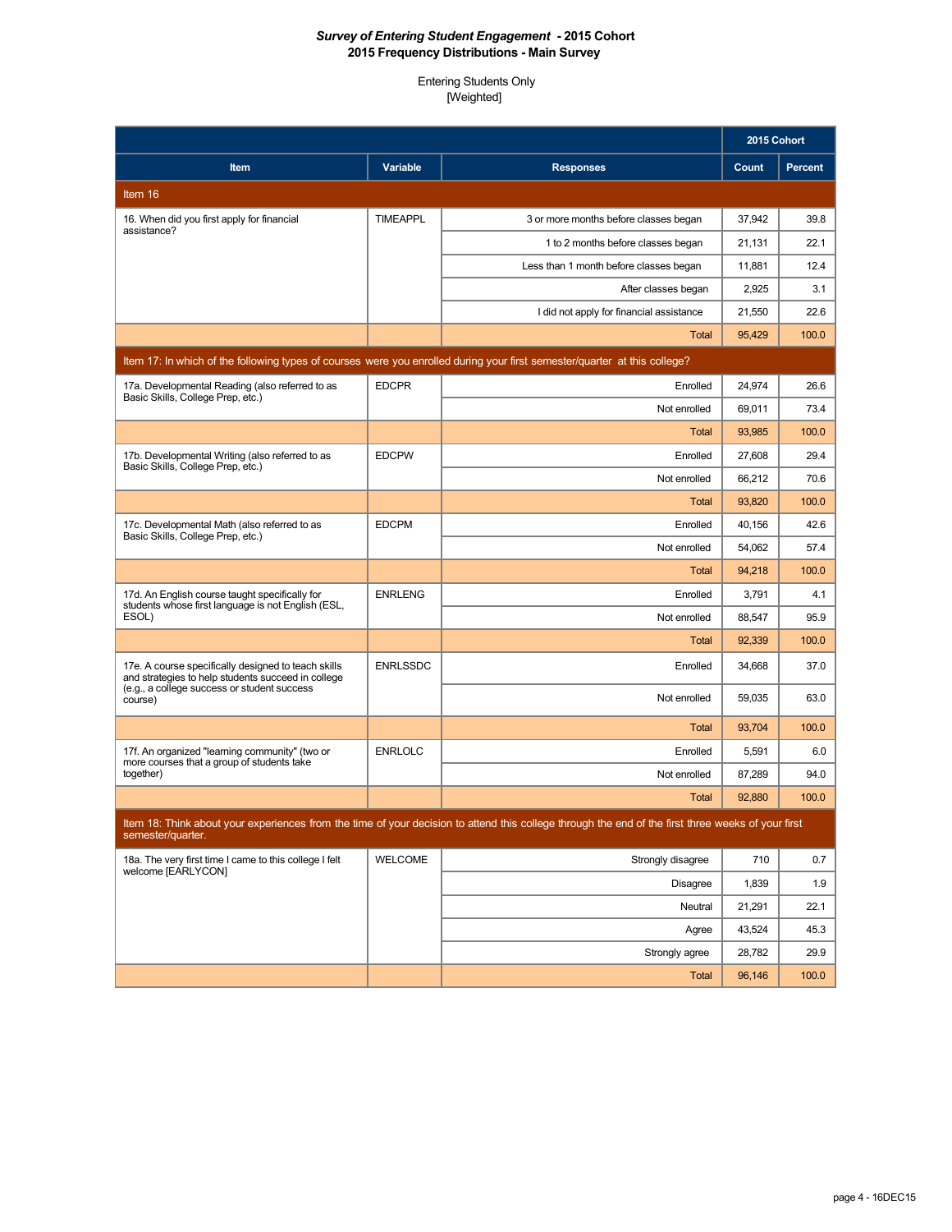|                                                                                                                                                          |                 |                                                                                                                                                    | 2015 Cohort |                |
|----------------------------------------------------------------------------------------------------------------------------------------------------------|-----------------|----------------------------------------------------------------------------------------------------------------------------------------------------|-------------|----------------|
| Item                                                                                                                                                     | Variable        | <b>Responses</b>                                                                                                                                   | Count       | <b>Percent</b> |
| Item 16                                                                                                                                                  |                 |                                                                                                                                                    |             |                |
| 16. When did you first apply for financial                                                                                                               | <b>TIMEAPPL</b> | 3 or more months before classes began                                                                                                              | 37,942      | 39.8           |
| assistance?                                                                                                                                              |                 | 1 to 2 months before classes began                                                                                                                 | 21,131      | 22.1           |
|                                                                                                                                                          |                 | Less than 1 month before classes began                                                                                                             | 11,881      | 12.4           |
|                                                                                                                                                          |                 | After classes began                                                                                                                                | 2,925       | 3.1            |
|                                                                                                                                                          |                 | I did not apply for financial assistance                                                                                                           | 21,550      | 22.6           |
|                                                                                                                                                          |                 | Total                                                                                                                                              | 95,429      | 100.0          |
|                                                                                                                                                          |                 | Item 17: In which of the following types of courses were you enrolled during your first semester/quarter at this college?                          |             |                |
| 17a. Developmental Reading (also referred to as<br>Basic Skills, College Prep, etc.)                                                                     | <b>EDCPR</b>    | Enrolled                                                                                                                                           | 24,974      | 26.6           |
|                                                                                                                                                          |                 | Not enrolled                                                                                                                                       | 69,011      | 73.4           |
|                                                                                                                                                          |                 | <b>Total</b>                                                                                                                                       | 93,985      | 100.0          |
| 17b. Developmental Writing (also referred to as<br>Basic Skills, College Prep, etc.)                                                                     | <b>EDCPW</b>    | Enrolled                                                                                                                                           | 27,608      | 29.4           |
|                                                                                                                                                          |                 | Not enrolled                                                                                                                                       | 66,212      | 70.6           |
|                                                                                                                                                          |                 | <b>Total</b>                                                                                                                                       | 93,820      | 100.0          |
| 17c. Developmental Math (also referred to as<br>Basic Skills, College Prep, etc.)                                                                        | <b>EDCPM</b>    | Enrolled                                                                                                                                           | 40,156      | 42.6           |
|                                                                                                                                                          |                 | Not enrolled                                                                                                                                       | 54,062      | 57.4           |
|                                                                                                                                                          |                 | Total                                                                                                                                              | 94,218      | 100.0          |
| 17d. An English course taught specifically for<br>students whose first language is not English (ESL,                                                     | <b>ENRLENG</b>  | Enrolled                                                                                                                                           | 3,791       | 4.1            |
| ESOL)                                                                                                                                                    |                 | Not enrolled                                                                                                                                       | 88,547      | 95.9           |
|                                                                                                                                                          |                 | Total                                                                                                                                              | 92,339      | 100.0          |
| 17e. A course specifically designed to teach skills<br>and strategies to help students succeed in college<br>(e.g., a college success or student success | <b>ENRLSSDC</b> | Enrolled                                                                                                                                           | 34,668      | 37.0           |
| course)                                                                                                                                                  |                 | Not enrolled                                                                                                                                       | 59,035      | 63.0           |
|                                                                                                                                                          |                 | <b>Total</b>                                                                                                                                       | 93.704      | 100.0          |
| 17f. An organized "learning community" (two or<br>more courses that a group of students take                                                             | <b>ENRLOLC</b>  | Enrolled                                                                                                                                           | 5,591       | 6.0            |
| together)                                                                                                                                                |                 | Not enrolled                                                                                                                                       | 87,289      | 94.0           |
|                                                                                                                                                          |                 | <b>Total</b>                                                                                                                                       | 92,880      | 100.0          |
| semester/quarter.                                                                                                                                        |                 | Item 18: Think about your experiences from the time of your decision to attend this college through the end of the first three weeks of your first |             |                |
| 18a. The very first time I came to this college I felt                                                                                                   | <b>WELCOME</b>  | Strongly disagree                                                                                                                                  | 710         | 0.7            |
| welcome [EARLYCON]                                                                                                                                       |                 | <b>Disagree</b>                                                                                                                                    | 1,839       | 1.9            |
|                                                                                                                                                          |                 | Neutral                                                                                                                                            | 21,291      | 22.1           |
|                                                                                                                                                          |                 | Agree                                                                                                                                              | 43,524      | 45.3           |
|                                                                                                                                                          |                 | Strongly agree                                                                                                                                     | 28,782      | 29.9           |
|                                                                                                                                                          |                 | Total                                                                                                                                              | 96,146      | 100.0          |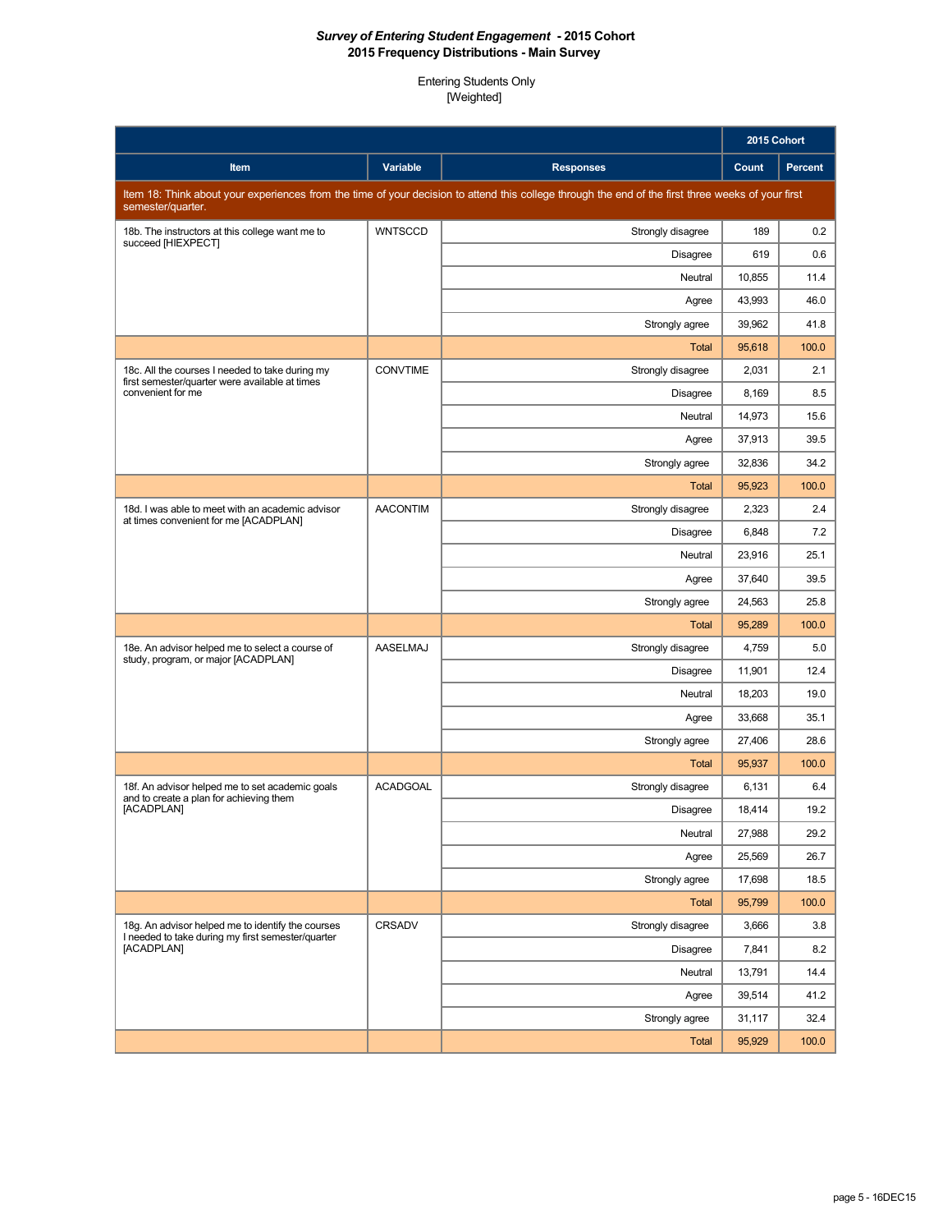|                                                                                                                        |                 |                                                                                                                                                    | 2015 Cohort |                |
|------------------------------------------------------------------------------------------------------------------------|-----------------|----------------------------------------------------------------------------------------------------------------------------------------------------|-------------|----------------|
| Item                                                                                                                   | Variable        | <b>Responses</b>                                                                                                                                   | Count       | <b>Percent</b> |
| semester/quarter.                                                                                                      |                 | Item 18: Think about your experiences from the time of your decision to attend this college through the end of the first three weeks of your first |             |                |
| 18b. The instructors at this college want me to<br>succeed [HIEXPECT]                                                  | <b>WNTSCCD</b>  | Strongly disagree                                                                                                                                  | 189         | 0.2            |
|                                                                                                                        |                 | <b>Disagree</b>                                                                                                                                    | 619         | 0.6            |
|                                                                                                                        |                 | Neutral                                                                                                                                            | 10,855      | 11.4           |
|                                                                                                                        |                 | Agree                                                                                                                                              | 43,993      | 46.0           |
|                                                                                                                        |                 | Strongly agree                                                                                                                                     | 39,962      | 41.8           |
|                                                                                                                        |                 | <b>Total</b>                                                                                                                                       | 95,618      | 100.0          |
| 18c. All the courses I needed to take during my<br>first semester/quarter were available at times<br>convenient for me | <b>CONVTIME</b> | Strongly disagree                                                                                                                                  | 2,031       | 2.1            |
|                                                                                                                        |                 | <b>Disagree</b>                                                                                                                                    | 8,169       | 8.5            |
|                                                                                                                        |                 | Neutral                                                                                                                                            | 14,973      | 15.6           |
|                                                                                                                        |                 | Agree                                                                                                                                              | 37,913      | 39.5           |
|                                                                                                                        |                 | Strongly agree                                                                                                                                     | 32,836      | 34.2           |
|                                                                                                                        |                 | <b>Total</b>                                                                                                                                       | 95,923      | 100.0          |
| 18d. I was able to meet with an academic advisor<br>at times convenient for me [ACADPLAN]                              | <b>AACONTIM</b> | Strongly disagree                                                                                                                                  | 2,323       | 2.4            |
|                                                                                                                        |                 | <b>Disagree</b>                                                                                                                                    | 6,848       | 7.2            |
|                                                                                                                        |                 | Neutral                                                                                                                                            | 23.916      | 25.1           |
|                                                                                                                        |                 | Agree                                                                                                                                              | 37,640      | 39.5           |
|                                                                                                                        |                 | Strongly agree                                                                                                                                     | 24,563      | 25.8           |
|                                                                                                                        |                 | <b>Total</b>                                                                                                                                       | 95,289      | 100.0          |
| 18e. An advisor helped me to select a course of<br>study, program, or major [ACADPLAN]                                 | <b>AASELMAJ</b> | Strongly disagree                                                                                                                                  | 4,759       | 5.0            |
|                                                                                                                        |                 | <b>Disagree</b>                                                                                                                                    | 11,901      | 12.4           |
|                                                                                                                        |                 | Neutral                                                                                                                                            | 18,203      | 19.0           |
|                                                                                                                        |                 | Agree                                                                                                                                              | 33,668      | 35.1           |
|                                                                                                                        |                 | Strongly agree                                                                                                                                     | 27,406      | 28.6           |
|                                                                                                                        |                 | <b>Total</b>                                                                                                                                       | 95,937      | 100.0          |
| 18f. An advisor helped me to set academic goals<br>and to create a plan for achieving them                             | <b>ACADGOAL</b> | Strongly disagree                                                                                                                                  | 6,131       | 6.4            |
| [ACADPLAN]                                                                                                             |                 | <b>Disagree</b>                                                                                                                                    | 18,414      | 19.2           |
|                                                                                                                        |                 | Neutral                                                                                                                                            | 27,988      | 29.2           |
|                                                                                                                        |                 | Agree                                                                                                                                              | 25,569      | 26.7           |
|                                                                                                                        |                 | Strongly agree                                                                                                                                     | 17,698      | 18.5           |
|                                                                                                                        |                 | <b>Total</b>                                                                                                                                       | 95,799      | 100.0          |
| 18g. An advisor helped me to identify the courses                                                                      | <b>CRSADV</b>   | Strongly disagree                                                                                                                                  | 3,666       | 3.8            |
| I needed to take during my first semester/quarter<br>[ACADPLAN]                                                        |                 | <b>Disagree</b>                                                                                                                                    | 7,841       | 8.2            |
|                                                                                                                        |                 | Neutral                                                                                                                                            | 13,791      | 14.4           |
|                                                                                                                        |                 | Agree                                                                                                                                              | 39,514      | 41.2           |
|                                                                                                                        |                 | Strongly agree                                                                                                                                     | 31,117      | 32.4           |
|                                                                                                                        |                 | <b>Total</b>                                                                                                                                       | 95,929      | 100.0          |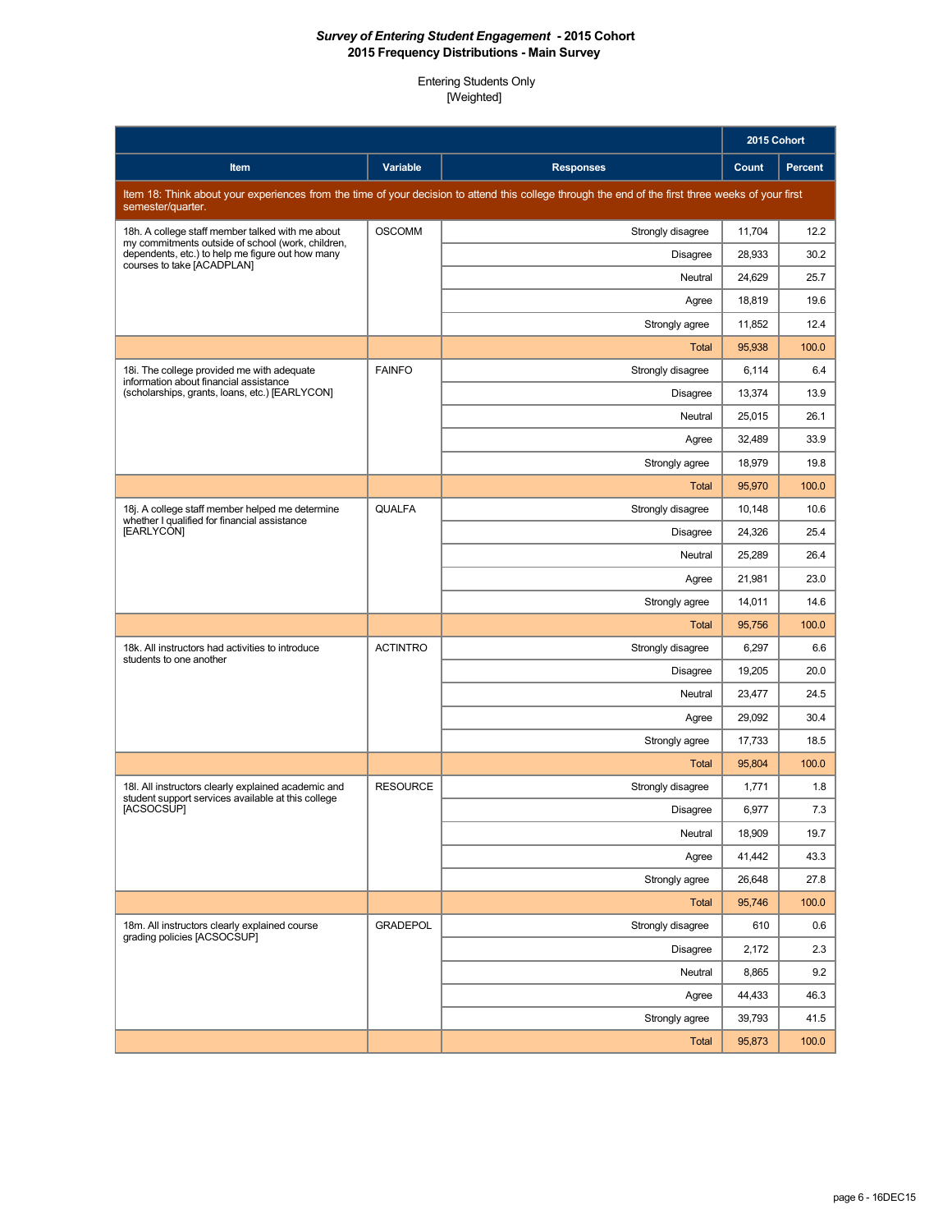|                                                                                                           |                 |                                                                                                                                                    | 2015 Cohort |         |
|-----------------------------------------------------------------------------------------------------------|-----------------|----------------------------------------------------------------------------------------------------------------------------------------------------|-------------|---------|
| Item                                                                                                      | Variable        | <b>Responses</b>                                                                                                                                   | Count       | Percent |
| semester/quarter.                                                                                         |                 | Item 18: Think about your experiences from the time of your decision to attend this college through the end of the first three weeks of your first |             |         |
| 18h. A college staff member talked with me about<br>my commitments outside of school (work, children,     | <b>OSCOMM</b>   | Strongly disagree                                                                                                                                  | 11,704      | 12.2    |
| dependents, etc.) to help me figure out how many<br>courses to take [ACADPLAN]                            |                 | <b>Disagree</b>                                                                                                                                    | 28,933      | 30.2    |
|                                                                                                           |                 | Neutral                                                                                                                                            | 24,629      | 25.7    |
|                                                                                                           |                 | Agree                                                                                                                                              | 18,819      | 19.6    |
|                                                                                                           |                 | Strongly agree                                                                                                                                     | 11,852      | 12.4    |
|                                                                                                           |                 | <b>Total</b>                                                                                                                                       | 95,938      | 100.0   |
| 18i. The college provided me with adequate<br>information about financial assistance                      | <b>FAINFO</b>   | Strongly disagree                                                                                                                                  | 6,114       | 6.4     |
| (scholarships, grants, loans, etc.) [EARLYCON]                                                            |                 | <b>Disagree</b>                                                                                                                                    | 13,374      | 13.9    |
|                                                                                                           |                 | Neutral                                                                                                                                            | 25,015      | 26.1    |
|                                                                                                           |                 | Agree                                                                                                                                              | 32,489      | 33.9    |
|                                                                                                           |                 | Strongly agree                                                                                                                                     | 18.979      | 19.8    |
|                                                                                                           |                 | <b>Total</b>                                                                                                                                       | 95,970      | 100.0   |
| 18j. A college staff member helped me determine<br>whether I qualified for financial assistance           | <b>QUALFA</b>   | Strongly disagree                                                                                                                                  | 10,148      | 10.6    |
| [EARLYCON]                                                                                                |                 | <b>Disagree</b>                                                                                                                                    | 24,326      | 25.4    |
|                                                                                                           |                 | Neutral                                                                                                                                            | 25,289      | 26.4    |
|                                                                                                           |                 | Agree                                                                                                                                              | 21,981      | 23.0    |
|                                                                                                           |                 | Strongly agree                                                                                                                                     | 14,011      | 14.6    |
|                                                                                                           |                 | <b>Total</b>                                                                                                                                       | 95,756      | 100.0   |
| 18k. All instructors had activities to introduce<br>students to one another                               | <b>ACTINTRO</b> | Strongly disagree                                                                                                                                  | 6,297       | 6.6     |
|                                                                                                           |                 | <b>Disagree</b>                                                                                                                                    | 19,205      | 20.0    |
|                                                                                                           |                 | Neutral                                                                                                                                            | 23,477      | 24.5    |
|                                                                                                           |                 | Agree                                                                                                                                              | 29,092      | 30.4    |
|                                                                                                           |                 | Strongly agree                                                                                                                                     | 17,733      | 18.5    |
|                                                                                                           |                 | <b>Total</b>                                                                                                                                       | 95,804      | 100.0   |
| 18I. All instructors clearly explained academic and<br>student support services available at this college | <b>RESOURCE</b> | Strongly disagree                                                                                                                                  | 1,771       | 1.8     |
| [ACSOCSUP]                                                                                                |                 | Disagree                                                                                                                                           | 6,977       | 7.3     |
|                                                                                                           |                 | Neutral                                                                                                                                            | 18,909      | 19.7    |
|                                                                                                           |                 | Agree                                                                                                                                              | 41,442      | 43.3    |
|                                                                                                           |                 | Strongly agree                                                                                                                                     | 26,648      | 27.8    |
|                                                                                                           |                 | <b>Total</b>                                                                                                                                       | 95,746      | 100.0   |
| 18m. All instructors clearly explained course<br>grading policies [ACSOCSUP]                              | <b>GRADEPOL</b> | Strongly disagree                                                                                                                                  | 610         | 0.6     |
|                                                                                                           |                 | <b>Disagree</b>                                                                                                                                    | 2,172       | 2.3     |
|                                                                                                           |                 | Neutral                                                                                                                                            | 8,865       | 9.2     |
|                                                                                                           |                 | Agree                                                                                                                                              | 44,433      | 46.3    |
|                                                                                                           |                 | Strongly agree                                                                                                                                     | 39,793      | 41.5    |
|                                                                                                           |                 | <b>Total</b>                                                                                                                                       | 95,873      | 100.0   |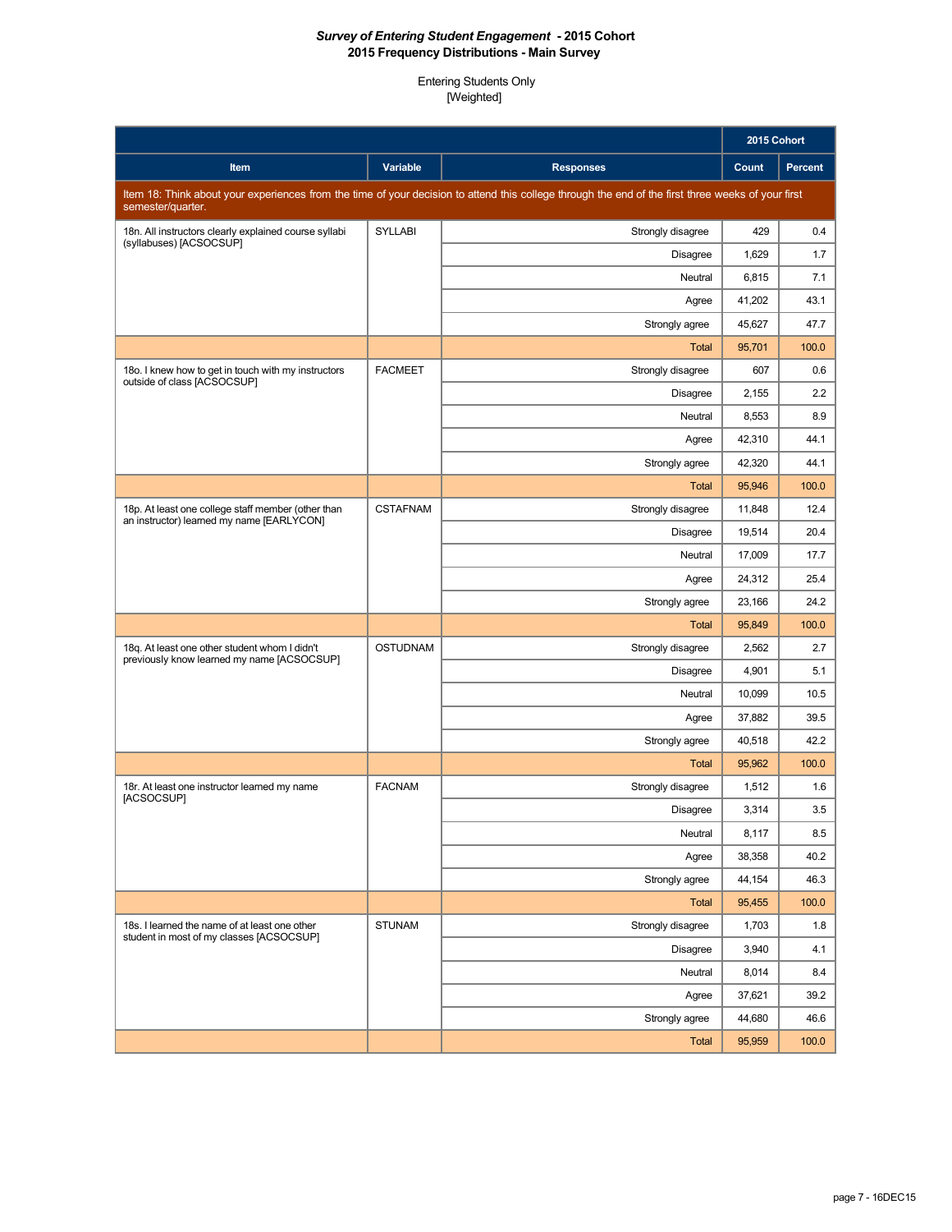|                                                                                                 |                 |                                                                                                                                                    | 2015 Cohort |                |
|-------------------------------------------------------------------------------------------------|-----------------|----------------------------------------------------------------------------------------------------------------------------------------------------|-------------|----------------|
| Item                                                                                            | Variable        | <b>Responses</b>                                                                                                                                   | Count       | <b>Percent</b> |
| semester/quarter.                                                                               |                 | Item 18: Think about your experiences from the time of your decision to attend this college through the end of the first three weeks of your first |             |                |
| 18n. All instructors clearly explained course syllabi<br>(syllabuses) [ACSOCSUP]                | <b>SYLLABI</b>  | Strongly disagree                                                                                                                                  | 429         | 0.4            |
|                                                                                                 |                 | <b>Disagree</b>                                                                                                                                    | 1,629       | 1.7            |
|                                                                                                 |                 | Neutral                                                                                                                                            | 6,815       | 7.1            |
|                                                                                                 |                 | Agree                                                                                                                                              | 41,202      | 43.1           |
|                                                                                                 |                 | Strongly agree                                                                                                                                     | 45,627      | 47.7           |
|                                                                                                 |                 | <b>Total</b>                                                                                                                                       | 95,701      | 100.0          |
| 18o. I knew how to get in touch with my instructors<br>outside of class [ACSOCSUP]              | <b>FACMEET</b>  | Strongly disagree                                                                                                                                  | 607         | 0.6            |
|                                                                                                 |                 | <b>Disagree</b>                                                                                                                                    | 2,155       | 2.2            |
|                                                                                                 |                 | Neutral                                                                                                                                            | 8,553       | 8.9            |
|                                                                                                 |                 | Agree                                                                                                                                              | 42,310      | 44.1           |
|                                                                                                 |                 | Strongly agree                                                                                                                                     | 42,320      | 44.1           |
|                                                                                                 |                 | <b>Total</b>                                                                                                                                       | 95,946      | 100.0          |
| 18p. At least one college staff member (other than<br>an instructor) learned my name [EARLYCON] | <b>CSTAFNAM</b> | Strongly disagree                                                                                                                                  | 11.848      | 12.4           |
|                                                                                                 |                 | <b>Disagree</b>                                                                                                                                    | 19,514      | 20.4           |
|                                                                                                 |                 | Neutral                                                                                                                                            | 17,009      | 17.7           |
|                                                                                                 |                 | Agree                                                                                                                                              | 24,312      | 25.4           |
|                                                                                                 |                 | Strongly agree                                                                                                                                     | 23,166      | 24.2           |
|                                                                                                 |                 | <b>Total</b>                                                                                                                                       | 95,849      | 100.0          |
| 18q. At least one other student whom I didn't<br>previously know learned my name [ACSOCSUP]     | <b>OSTUDNAM</b> | Strongly disagree                                                                                                                                  | 2,562       | 2.7            |
|                                                                                                 |                 | <b>Disagree</b>                                                                                                                                    | 4,901       | 5.1            |
|                                                                                                 |                 | Neutral                                                                                                                                            | 10,099      | 10.5           |
|                                                                                                 |                 | Agree                                                                                                                                              | 37,882      | 39.5           |
|                                                                                                 |                 | Strongly agree                                                                                                                                     | 40,518      | 42.2           |
|                                                                                                 |                 | <b>Total</b>                                                                                                                                       | 95,962      | 100.0          |
| 18r. At least one instructor learned my name<br>[ACSOCSUP]                                      | <b>FACNAM</b>   | Strongly disagree                                                                                                                                  | 1,512       | 1.6            |
|                                                                                                 |                 | <b>Disagree</b>                                                                                                                                    | 3,314       | 3.5            |
|                                                                                                 |                 | Neutral                                                                                                                                            | 8,117       | 8.5            |
|                                                                                                 |                 | Agree                                                                                                                                              | 38,358      | 40.2           |
|                                                                                                 |                 | Strongly agree                                                                                                                                     | 44,154      | 46.3           |
|                                                                                                 |                 | <b>Total</b>                                                                                                                                       | 95,455      | 100.0          |
| 18s. I learned the name of at least one other<br>student in most of my classes [ACSOCSUP]       | <b>STUNAM</b>   | Strongly disagree                                                                                                                                  | 1,703       | 1.8            |
|                                                                                                 |                 | <b>Disagree</b>                                                                                                                                    | 3,940       | 4.1            |
|                                                                                                 |                 | Neutral                                                                                                                                            | 8,014       | 8.4            |
|                                                                                                 |                 | Agree                                                                                                                                              | 37,621      | 39.2           |
|                                                                                                 |                 | Strongly agree                                                                                                                                     | 44,680      | 46.6           |
|                                                                                                 |                 | <b>Total</b>                                                                                                                                       | 95,959      | 100.0          |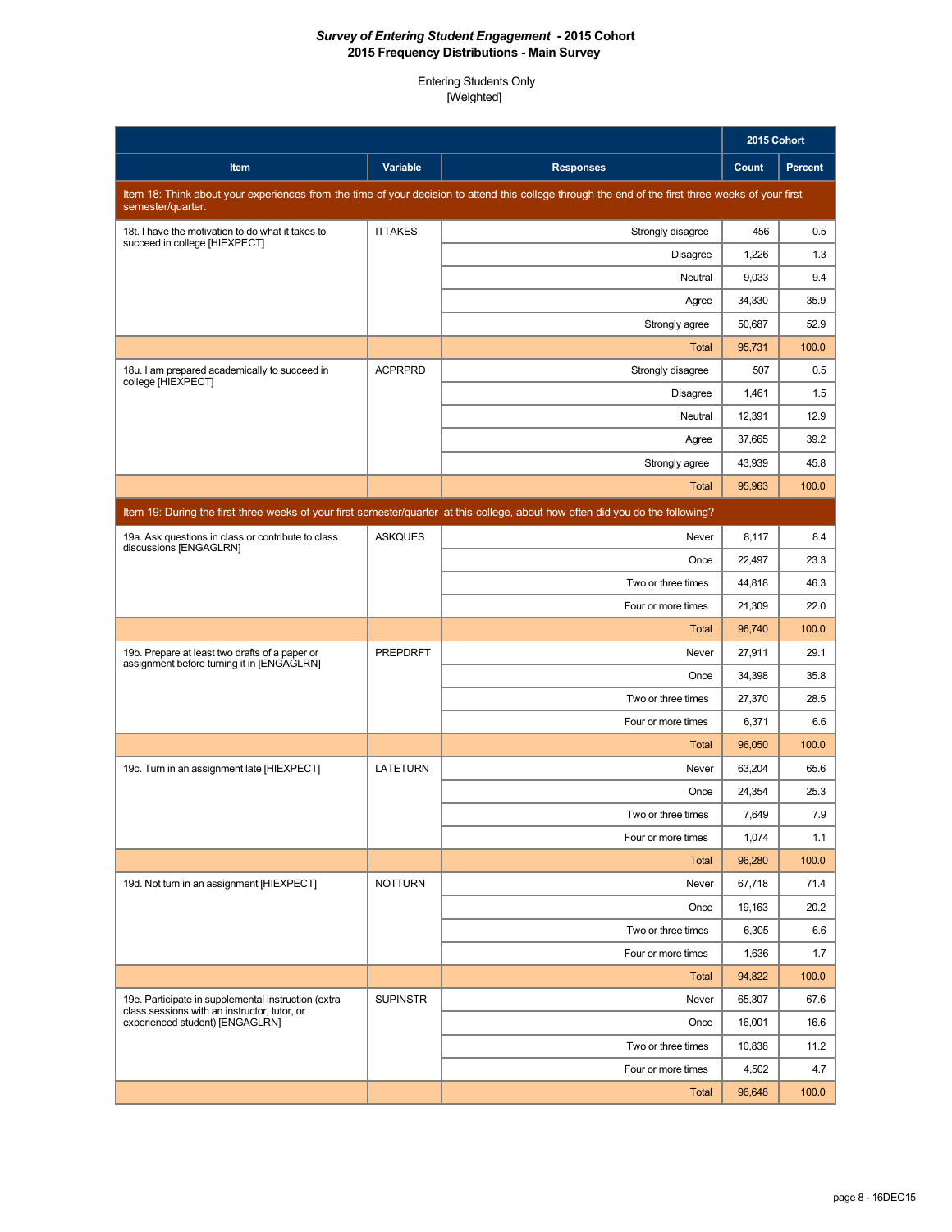|                                                                                              |                 |                                                                                                                                                    | 2015 Cohort      |                |
|----------------------------------------------------------------------------------------------|-----------------|----------------------------------------------------------------------------------------------------------------------------------------------------|------------------|----------------|
| Item                                                                                         | Variable        | <b>Responses</b>                                                                                                                                   | <b>Count</b>     | <b>Percent</b> |
|                                                                                              |                 | Item 18: Think about your experiences from the time of your decision to attend this college through the end of the first three weeks of your first |                  |                |
| semester/quarter.<br>18t. I have the motivation to do what it takes to                       | <b>ITTAKES</b>  | Strongly disagree                                                                                                                                  | 456              | 0.5            |
| succeed in college [HIEXPECT]                                                                |                 | <b>Disagree</b>                                                                                                                                    | 1,226            | 1.3            |
|                                                                                              |                 | Neutral                                                                                                                                            | 9,033            | 9.4            |
|                                                                                              |                 | Agree                                                                                                                                              | 34,330           | 35.9           |
|                                                                                              |                 | Strongly agree                                                                                                                                     | 50,687           | 52.9           |
|                                                                                              |                 | Total                                                                                                                                              | 95,731           | 100.0          |
| 18u. I am prepared academically to succeed in                                                | <b>ACPRPRD</b>  | Strongly disagree                                                                                                                                  | 507              | 0.5            |
| college [HIEXPECT]                                                                           |                 | <b>Disagree</b>                                                                                                                                    | 1,461            | 1.5            |
|                                                                                              |                 | Neutral                                                                                                                                            | 12,391           | 12.9           |
|                                                                                              |                 | Agree                                                                                                                                              | 37,665           | 39.2           |
|                                                                                              |                 | Strongly agree                                                                                                                                     | 43.939           | 45.8           |
|                                                                                              |                 | Total                                                                                                                                              | 95,963           | 100.0          |
|                                                                                              |                 | Item 19: During the first three weeks of your first semester/quarter at this college, about how often did you do the following?                    |                  |                |
| 19a. Ask questions in class or contribute to class                                           | <b>ASKQUES</b>  | Never                                                                                                                                              | 8,117            | 8.4            |
| discussions [ENGAGLRN]                                                                       |                 | Once                                                                                                                                               | 22,497           | 23.3           |
|                                                                                              |                 | Two or three times                                                                                                                                 | 44,818           | 46.3           |
|                                                                                              |                 | Four or more times                                                                                                                                 | 21,309           | 22.0           |
|                                                                                              |                 | Total                                                                                                                                              | 96,740           | 100.0          |
| 19b. Prepare at least two drafts of a paper or<br>assignment before turning it in [ENGAGLRN] | <b>PREPDRFT</b> | Never                                                                                                                                              | 27,911           | 29.1           |
|                                                                                              |                 | Once                                                                                                                                               | 34,398           | 35.8           |
|                                                                                              |                 | Two or three times                                                                                                                                 | 27,370           | 28.5           |
|                                                                                              |                 | Four or more times                                                                                                                                 | 6,371            | 6.6            |
|                                                                                              |                 | Total                                                                                                                                              | 96,050           | 100.0          |
| 19c. Turn in an assignment late [HIEXPECT]                                                   | <b>LATETURN</b> | Never                                                                                                                                              | 63,204           | 65.6           |
|                                                                                              |                 | Once                                                                                                                                               | 24,354           | 25.3           |
|                                                                                              |                 | Two or three times                                                                                                                                 | 7,649            | 7.9            |
|                                                                                              |                 | Four or more times                                                                                                                                 | 1,074            | 1.1            |
|                                                                                              |                 | <b>Total</b>                                                                                                                                       | 96,280           | 100.0          |
| 19d. Not turn in an assignment [HIEXPECT]                                                    | <b>NOTTURN</b>  | Never                                                                                                                                              | 67,718           | 71.4           |
|                                                                                              |                 | Once<br>Two or three times                                                                                                                         | 19,163           | 20.2           |
|                                                                                              |                 |                                                                                                                                                    | 6,305            | 6.6            |
|                                                                                              |                 | Four or more times                                                                                                                                 | 1,636            | 1.7<br>100.0   |
| 19e. Participate in supplemental instruction (extra                                          | <b>SUPINSTR</b> | Total<br>Never                                                                                                                                     | 94,822<br>65.307 | 67.6           |
| class sessions with an instructor, tutor, or<br>experienced student) [ENGAGLRN]              |                 | Once                                                                                                                                               | 16,001           | 16.6           |
|                                                                                              |                 | Two or three times                                                                                                                                 | 10,838           | 11.2           |
|                                                                                              |                 | Four or more times                                                                                                                                 | 4,502            | 4.7            |
|                                                                                              |                 | <b>Total</b>                                                                                                                                       | 96,648           | 100.0          |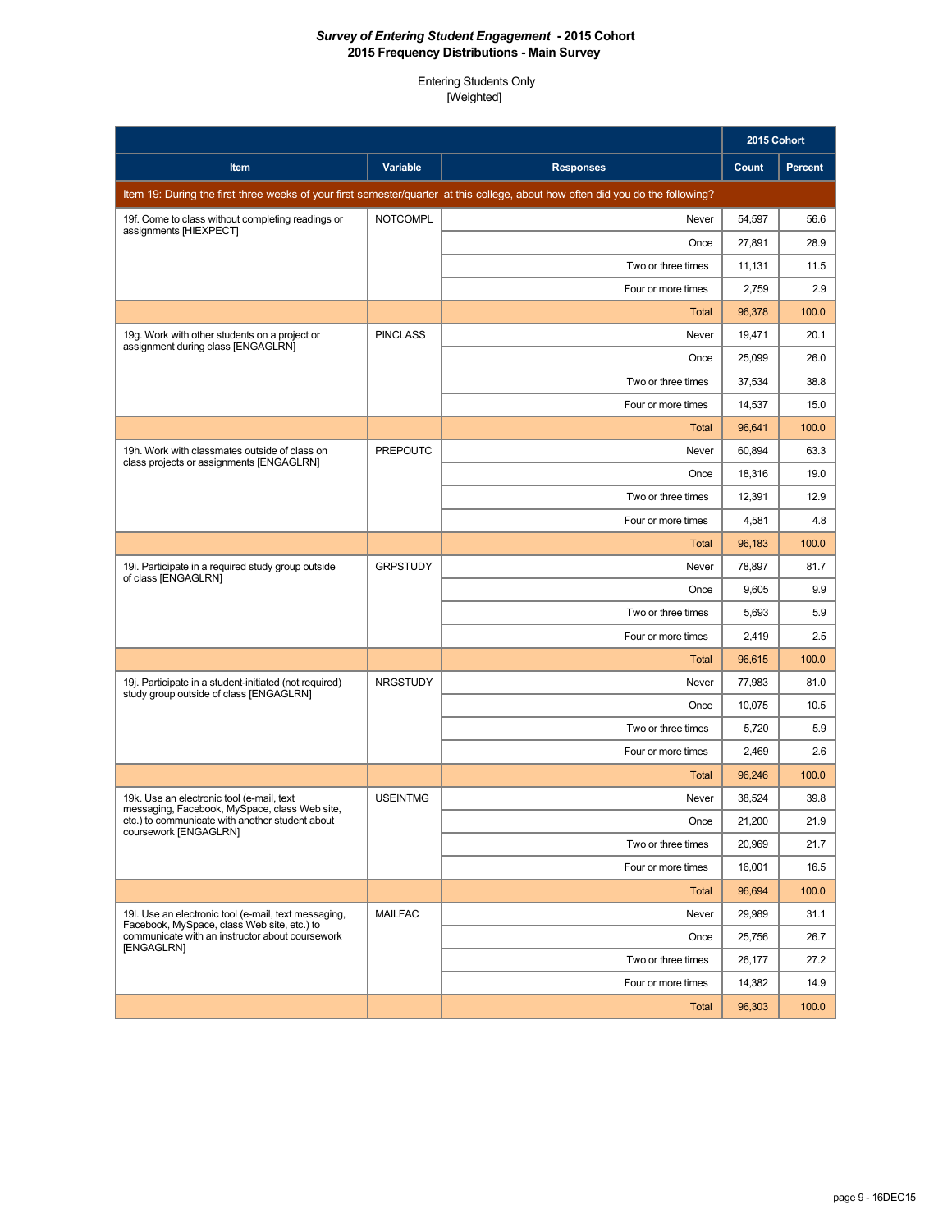|                                                                                                     |                 |                                                                                                                                 | 2015 Cohort |         |
|-----------------------------------------------------------------------------------------------------|-----------------|---------------------------------------------------------------------------------------------------------------------------------|-------------|---------|
| Item                                                                                                | Variable        | <b>Responses</b>                                                                                                                | Count       | Percent |
|                                                                                                     |                 | Item 19: During the first three weeks of your first semester/quarter at this college, about how often did you do the following? |             |         |
| 19f. Come to class without completing readings or                                                   | <b>NOTCOMPL</b> | Never                                                                                                                           | 54,597      | 56.6    |
| assignments [HIEXPECT]                                                                              |                 | Once                                                                                                                            | 27,891      | 28.9    |
|                                                                                                     |                 | Two or three times                                                                                                              | 11,131      | 11.5    |
|                                                                                                     |                 | Four or more times                                                                                                              | 2,759       | 2.9     |
|                                                                                                     |                 | Total                                                                                                                           | 96,378      | 100.0   |
| 19g. Work with other students on a project or<br>assignment during class [ENGAGLRN]                 | <b>PINCLASS</b> | Never                                                                                                                           | 19,471      | 20.1    |
|                                                                                                     |                 | Once                                                                                                                            | 25,099      | 26.0    |
|                                                                                                     |                 | Two or three times                                                                                                              | 37,534      | 38.8    |
|                                                                                                     |                 | Four or more times                                                                                                              | 14,537      | 15.0    |
|                                                                                                     |                 | Total                                                                                                                           | 96,641      | 100.0   |
| 19h. Work with classmates outside of class on<br>class projects or assignments [ENGAGLRN]           | <b>PREPOUTC</b> | Never                                                                                                                           | 60,894      | 63.3    |
|                                                                                                     |                 | Once                                                                                                                            | 18.316      | 19.0    |
|                                                                                                     |                 | Two or three times                                                                                                              | 12,391      | 12.9    |
|                                                                                                     |                 | Four or more times                                                                                                              | 4,581       | 4.8     |
|                                                                                                     |                 | <b>Total</b>                                                                                                                    | 96,183      | 100.0   |
| 19i. Participate in a required study group outside<br>of class [ENGAGLRN]                           | <b>GRPSTUDY</b> | Never                                                                                                                           | 78.897      | 81.7    |
|                                                                                                     |                 | Once                                                                                                                            | 9,605       | 9.9     |
|                                                                                                     |                 | Two or three times                                                                                                              | 5,693       | 5.9     |
|                                                                                                     |                 | Four or more times                                                                                                              | 2,419       | 2.5     |
|                                                                                                     |                 | Total                                                                                                                           | 96,615      | 100.0   |
| 19j. Participate in a student-initiated (not required)<br>study group outside of class [ENGAGLRN]   | <b>NRGSTUDY</b> | Never                                                                                                                           | 77,983      | 81.0    |
|                                                                                                     |                 | Once                                                                                                                            | 10,075      | 10.5    |
|                                                                                                     |                 | Two or three times                                                                                                              | 5,720       | 5.9     |
|                                                                                                     |                 | Four or more times                                                                                                              | 2,469       | 2.6     |
|                                                                                                     |                 | <b>Total</b>                                                                                                                    | 96,246      | 100.0   |
| 19k. Use an electronic tool (e-mail, text<br>messaging, Facebook, MySpace, class Web site,          | <b>USEINTMG</b> | Never                                                                                                                           | 38.524      | 39.8    |
| etc.) to communicate with another student about<br>coursework [ENGAGLRN]                            |                 | Once                                                                                                                            | 21,200      | 21.9    |
|                                                                                                     |                 | Two or three times                                                                                                              | 20,969      | 21.7    |
|                                                                                                     |                 | Four or more times                                                                                                              | 16,001      | 16.5    |
|                                                                                                     |                 | <b>Total</b>                                                                                                                    | 96,694      | 100.0   |
| 19I. Use an electronic tool (e-mail, text messaging,<br>Facebook, MySpace, class Web site, etc.) to | <b>MAILFAC</b>  | Never                                                                                                                           | 29,989      | 31.1    |
| communicate with an instructor about coursework<br>[ENGAGLRN]                                       |                 | Once                                                                                                                            | 25,756      | 26.7    |
|                                                                                                     |                 | Two or three times                                                                                                              | 26,177      | 27.2    |
|                                                                                                     |                 | Four or more times                                                                                                              | 14,382      | 14.9    |
|                                                                                                     |                 | <b>Total</b>                                                                                                                    | 96,303      | 100.0   |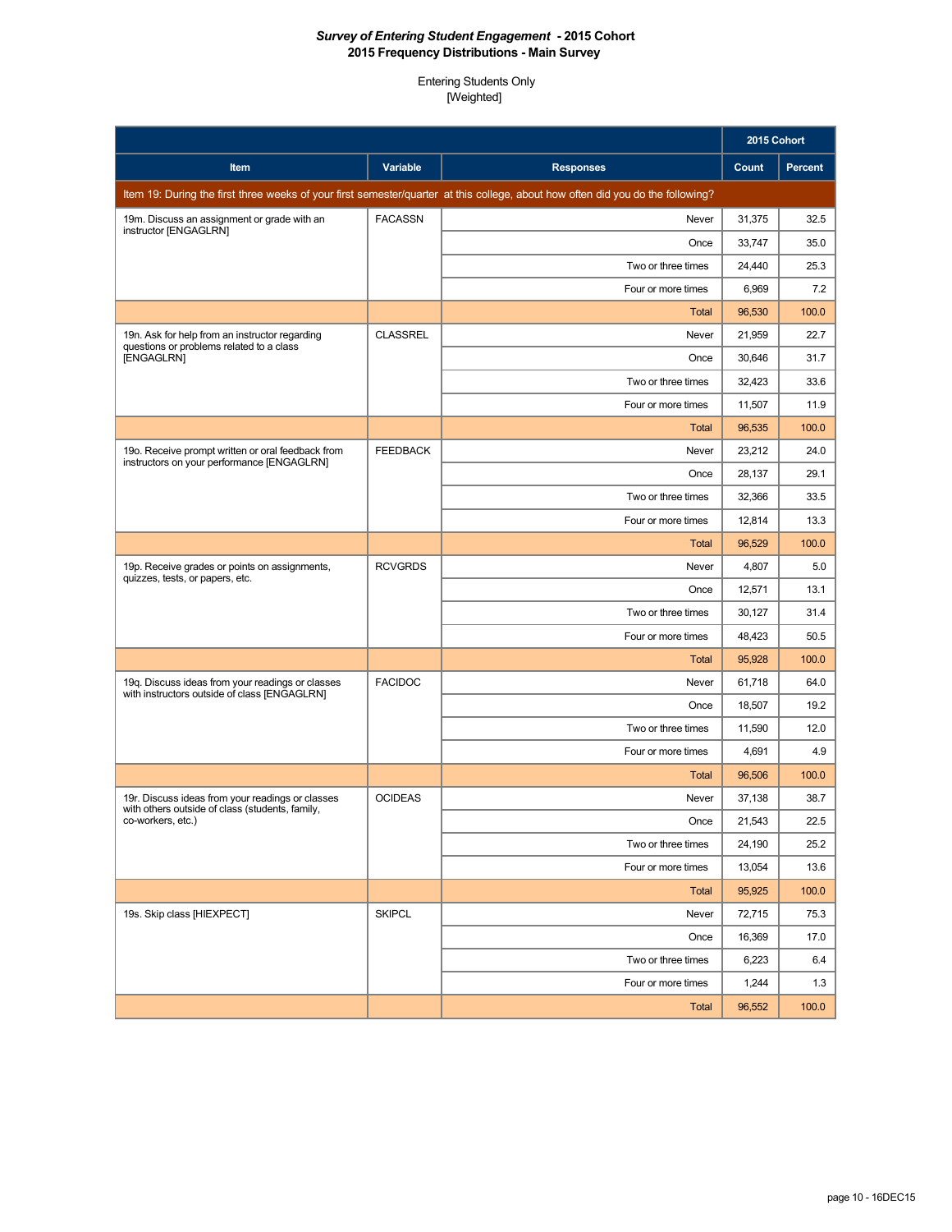|                                                                                                          |                 |                                                                                                                                 | 2015 Cohort |                |
|----------------------------------------------------------------------------------------------------------|-----------------|---------------------------------------------------------------------------------------------------------------------------------|-------------|----------------|
| Item                                                                                                     | Variable        | <b>Responses</b>                                                                                                                | Count       | <b>Percent</b> |
|                                                                                                          |                 | Item 19: During the first three weeks of your first semester/quarter at this college, about how often did you do the following? |             |                |
| 19m. Discuss an assignment or grade with an                                                              | <b>FACASSN</b>  | Never                                                                                                                           | 31,375      | 32.5           |
| instructor [ENGAGLRN]                                                                                    |                 | Once                                                                                                                            | 33,747      | 35.0           |
|                                                                                                          |                 | Two or three times                                                                                                              | 24,440      | 25.3           |
|                                                                                                          |                 | Four or more times                                                                                                              | 6,969       | 7.2            |
|                                                                                                          |                 | Total                                                                                                                           | 96,530      | 100.0          |
| 19n. Ask for help from an instructor regarding<br>questions or problems related to a class<br>[ENGAGLRN] | <b>CLASSREL</b> | Never                                                                                                                           | 21,959      | 22.7           |
|                                                                                                          |                 | Once                                                                                                                            | 30,646      | 31.7           |
|                                                                                                          |                 | Two or three times                                                                                                              | 32,423      | 33.6           |
|                                                                                                          |                 | Four or more times                                                                                                              | 11,507      | 11.9           |
|                                                                                                          |                 | <b>Total</b>                                                                                                                    | 96,535      | 100.0          |
| 19o. Receive prompt written or oral feedback from<br>instructors on your performance [ENGAGLRN]          | <b>FEEDBACK</b> | Never                                                                                                                           | 23,212      | 24.0           |
|                                                                                                          |                 | Once                                                                                                                            | 28,137      | 29.1           |
|                                                                                                          |                 | Two or three times                                                                                                              | 32,366      | 33.5           |
|                                                                                                          |                 | Four or more times                                                                                                              | 12,814      | 13.3           |
|                                                                                                          |                 | Total                                                                                                                           | 96,529      | 100.0          |
| 19p. Receive grades or points on assignments,<br>quizzes, tests, or papers, etc.                         | <b>RCVGRDS</b>  | Never                                                                                                                           | 4,807       | 5.0            |
|                                                                                                          |                 | Once                                                                                                                            | 12,571      | 13.1           |
|                                                                                                          |                 | Two or three times                                                                                                              | 30,127      | 31.4           |
|                                                                                                          |                 | Four or more times                                                                                                              | 48,423      | 50.5           |
|                                                                                                          |                 | Total                                                                                                                           | 95,928      | 100.0          |
| 19q. Discuss ideas from your readings or classes<br>with instructors outside of class [ENGAGLRN]         | <b>FACIDOC</b>  | Never                                                                                                                           | 61,718      | 64.0           |
|                                                                                                          |                 | Once                                                                                                                            | 18,507      | 19.2           |
|                                                                                                          |                 | Two or three times                                                                                                              | 11,590      | 12.0           |
|                                                                                                          |                 | Four or more times                                                                                                              | 4,691       | 4.9            |
|                                                                                                          |                 | Total                                                                                                                           | 96,506      | 100.0          |
| 19r. Discuss ideas from your readings or classes<br>with others outside of class (students, family,      | <b>OCIDEAS</b>  | Never                                                                                                                           | 37,138      | 38.7           |
| co-workers, etc.)                                                                                        |                 | Once                                                                                                                            | 21,543      | 22.5           |
|                                                                                                          |                 | Two or three times                                                                                                              | 24,190      | 25.2           |
|                                                                                                          |                 | Four or more times                                                                                                              | 13,054      | 13.6           |
|                                                                                                          |                 | Total                                                                                                                           | 95,925      | 100.0          |
| 19s. Skip class [HIEXPECT]                                                                               | <b>SKIPCL</b>   | Never                                                                                                                           | 72,715      | 75.3           |
|                                                                                                          |                 | Once                                                                                                                            | 16,369      | 17.0           |
|                                                                                                          |                 | Two or three times                                                                                                              | 6,223       | 6.4            |
|                                                                                                          |                 | Four or more times                                                                                                              | 1,244       | 1.3            |
|                                                                                                          |                 | <b>Total</b>                                                                                                                    | 96,552      | 100.0          |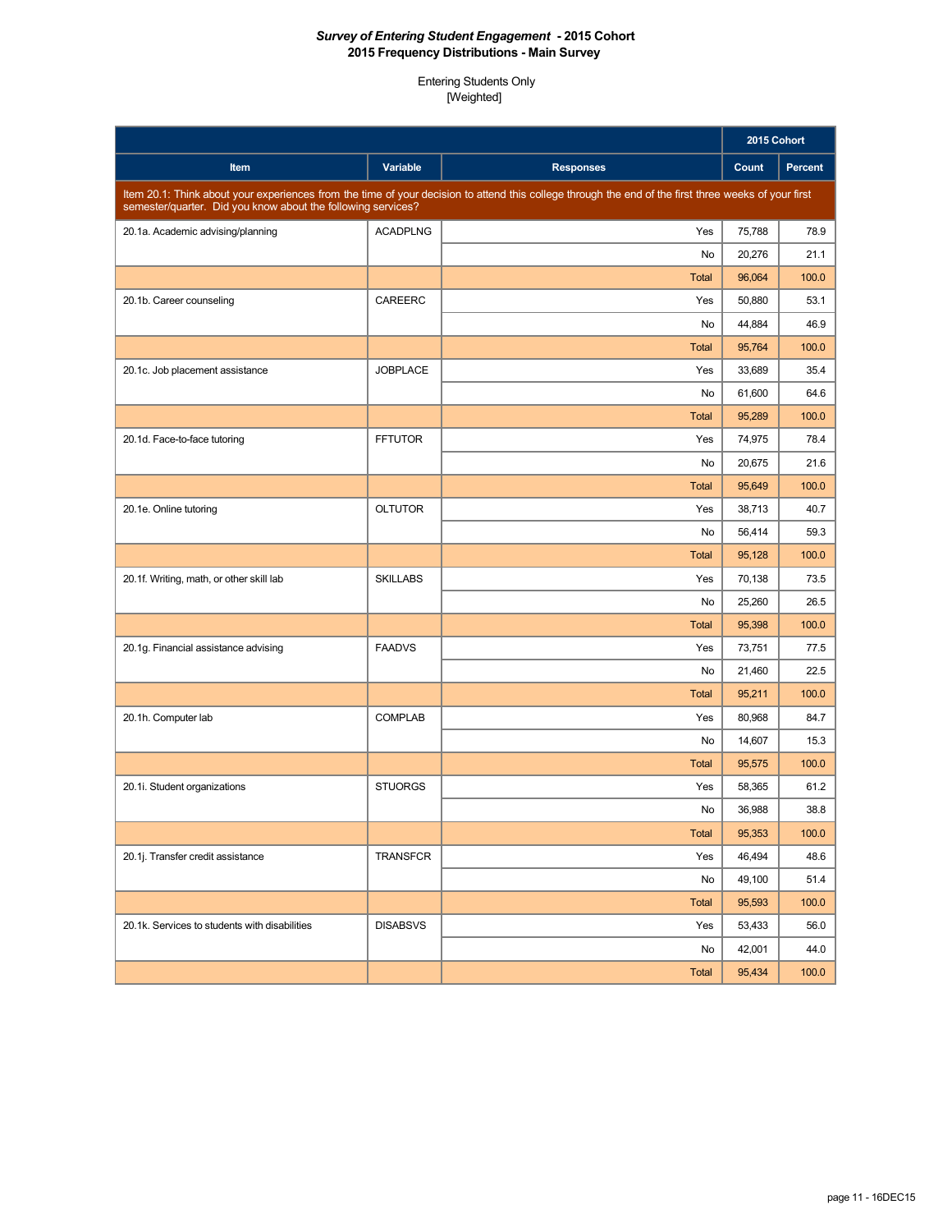|                                                              |                 |                                                                                                                                                      | 2015 Cohort |         |
|--------------------------------------------------------------|-----------------|------------------------------------------------------------------------------------------------------------------------------------------------------|-------------|---------|
| Item                                                         | <b>Variable</b> | <b>Responses</b>                                                                                                                                     | Count       | Percent |
| semester/quarter. Did you know about the following services? |                 | Item 20.1: Think about your experiences from the time of your decision to attend this college through the end of the first three weeks of your first |             |         |
| 20.1a. Academic advising/planning                            | <b>ACADPLNG</b> | Yes                                                                                                                                                  | 75,788      | 78.9    |
|                                                              |                 | No                                                                                                                                                   | 20,276      | 21.1    |
|                                                              |                 | <b>Total</b>                                                                                                                                         | 96,064      | 100.0   |
| 20.1b. Career counseling                                     | CAREERC         | Yes                                                                                                                                                  | 50,880      | 53.1    |
|                                                              |                 | No                                                                                                                                                   | 44,884      | 46.9    |
|                                                              |                 | <b>Total</b>                                                                                                                                         | 95,764      | 100.0   |
| 20.1c. Job placement assistance                              | <b>JOBPLACE</b> | Yes                                                                                                                                                  | 33,689      | 35.4    |
|                                                              |                 | No                                                                                                                                                   | 61,600      | 64.6    |
|                                                              |                 | <b>Total</b>                                                                                                                                         | 95,289      | 100.0   |
| 20.1d. Face-to-face tutoring                                 | <b>FFTUTOR</b>  | Yes                                                                                                                                                  | 74.975      | 78.4    |
|                                                              |                 | No                                                                                                                                                   | 20,675      | 21.6    |
|                                                              |                 | <b>Total</b>                                                                                                                                         | 95,649      | 100.0   |
| 20.1e. Online tutoring                                       | <b>OLTUTOR</b>  | Yes                                                                                                                                                  | 38.713      | 40.7    |
|                                                              |                 | No                                                                                                                                                   | 56,414      | 59.3    |
|                                                              |                 | <b>Total</b>                                                                                                                                         | 95,128      | 100.0   |
| 20.1f. Writing, math, or other skill lab                     | <b>SKILLABS</b> | Yes                                                                                                                                                  | 70,138      | 73.5    |
|                                                              |                 | No                                                                                                                                                   | 25,260      | 26.5    |
|                                                              |                 | <b>Total</b>                                                                                                                                         | 95,398      | 100.0   |
| 20.1g. Financial assistance advising                         | <b>FAADVS</b>   | Yes                                                                                                                                                  | 73,751      | 77.5    |
|                                                              |                 | No                                                                                                                                                   | 21,460      | 22.5    |
|                                                              |                 | <b>Total</b>                                                                                                                                         | 95,211      | 100.0   |
| 20.1h. Computer lab                                          | <b>COMPLAB</b>  | Yes                                                                                                                                                  | 80,968      | 84.7    |
|                                                              |                 | No                                                                                                                                                   | 14,607      | 15.3    |
|                                                              |                 | <b>Total</b>                                                                                                                                         | 95,575      | 100.0   |
| 20.1i. Student organizations                                 | <b>STUORGS</b>  | Yes                                                                                                                                                  | 58,365      | 61.2    |
|                                                              |                 | No                                                                                                                                                   | 36,988      | 38.8    |
|                                                              |                 | <b>Total</b>                                                                                                                                         | 95,353      | 100.0   |
| 20.1j. Transfer credit assistance                            | <b>TRANSFCR</b> | Yes                                                                                                                                                  | 46,494      | 48.6    |
|                                                              |                 | No                                                                                                                                                   | 49,100      | 51.4    |
|                                                              |                 | <b>Total</b>                                                                                                                                         | 95,593      | 100.0   |
| 20.1k. Services to students with disabilities                | <b>DISABSVS</b> | Yes                                                                                                                                                  | 53,433      | 56.0    |
|                                                              |                 | No                                                                                                                                                   | 42,001      | 44.0    |
|                                                              |                 | <b>Total</b>                                                                                                                                         | 95,434      | 100.0   |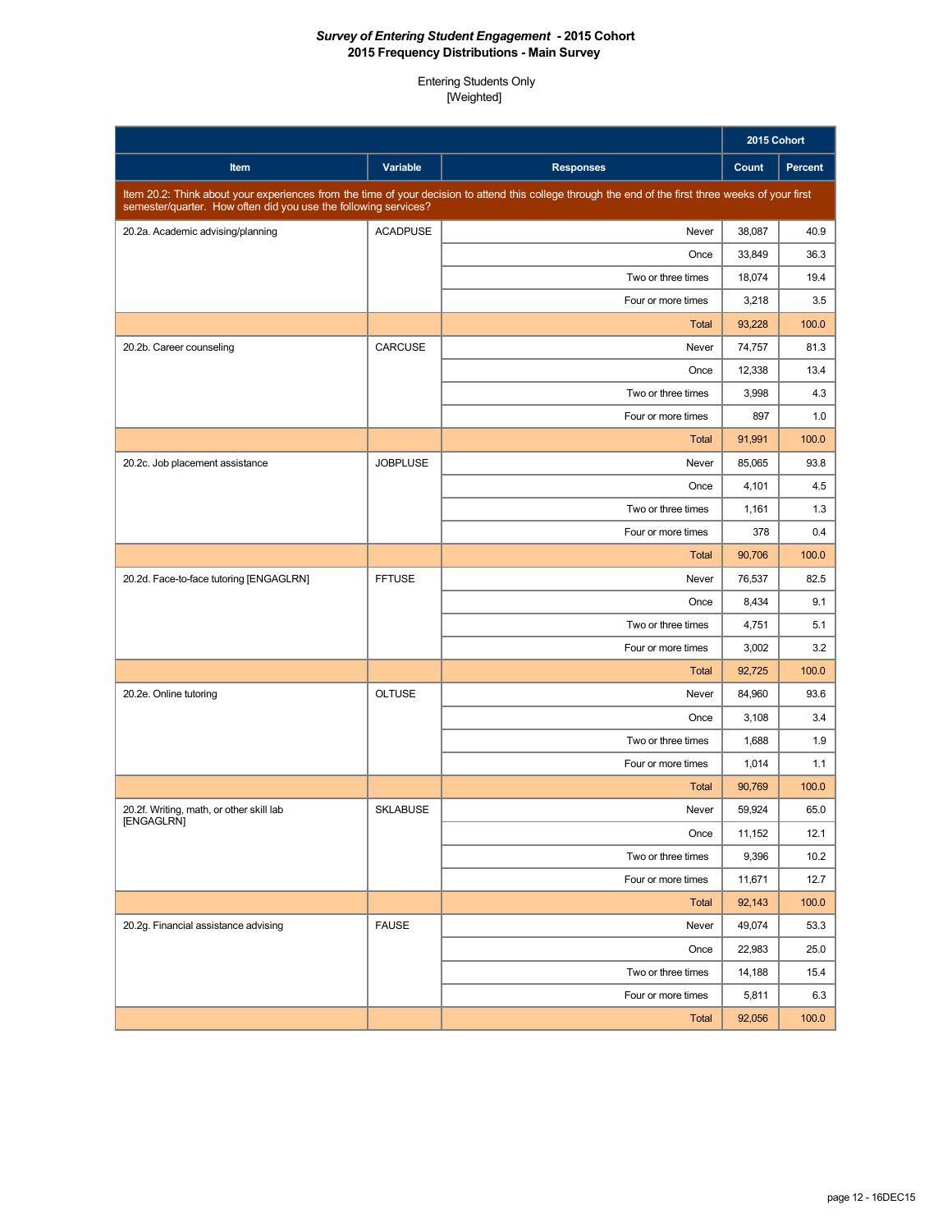|                                                                 |                 |                                                                                                                                                      | 2015 Cohort |                |
|-----------------------------------------------------------------|-----------------|------------------------------------------------------------------------------------------------------------------------------------------------------|-------------|----------------|
| Item                                                            | Variable        | <b>Responses</b>                                                                                                                                     | Count       | <b>Percent</b> |
| semester/quarter. How often did you use the following services? |                 | Item 20.2: Think about your experiences from the time of your decision to attend this college through the end of the first three weeks of your first |             |                |
| 20.2a. Academic advising/planning                               | <b>ACADPUSE</b> | Never                                                                                                                                                | 38,087      | 40.9           |
|                                                                 |                 | Once                                                                                                                                                 | 33,849      | 36.3           |
|                                                                 |                 | Two or three times                                                                                                                                   | 18,074      | 19.4           |
|                                                                 |                 | Four or more times                                                                                                                                   | 3,218       | 3.5            |
|                                                                 |                 | <b>Total</b>                                                                                                                                         | 93,228      | 100.0          |
| 20.2b. Career counseling                                        | <b>CARCUSE</b>  | Never                                                                                                                                                | 74,757      | 81.3           |
|                                                                 |                 | Once                                                                                                                                                 | 12,338      | 13.4           |
|                                                                 |                 | Two or three times                                                                                                                                   | 3,998       | 4.3            |
|                                                                 |                 | Four or more times                                                                                                                                   | 897         | 1.0            |
|                                                                 |                 | <b>Total</b>                                                                                                                                         | 91,991      | 100.0          |
| 20.2c. Job placement assistance                                 | <b>JOBPLUSE</b> | Never                                                                                                                                                | 85.065      | 93.8           |
|                                                                 |                 | Once                                                                                                                                                 | 4,101       | 4.5            |
|                                                                 |                 | Two or three times                                                                                                                                   | 1,161       | 1.3            |
|                                                                 |                 | Four or more times                                                                                                                                   | 378         | 0.4            |
|                                                                 |                 | <b>Total</b>                                                                                                                                         | 90.706      | 100.0          |
| 20.2d. Face-to-face tutoring [ENGAGLRN]                         | <b>FFTUSE</b>   | Never                                                                                                                                                | 76,537      | 82.5           |
|                                                                 |                 | Once                                                                                                                                                 | 8,434       | 9.1            |
|                                                                 |                 | Two or three times                                                                                                                                   | 4,751       | 5.1            |
|                                                                 |                 | Four or more times                                                                                                                                   | 3,002       | 3.2            |
|                                                                 |                 | <b>Total</b>                                                                                                                                         | 92,725      | 100.0          |
| 20.2e. Online tutoring                                          | <b>OLTUSE</b>   | Never                                                                                                                                                | 84,960      | 93.6           |
|                                                                 |                 | Once                                                                                                                                                 | 3,108       | 3.4            |
|                                                                 |                 | Two or three times                                                                                                                                   | 1,688       | 1.9            |
|                                                                 |                 | Four or more times                                                                                                                                   | 1,014       | 1.1            |
|                                                                 |                 | <b>Total</b>                                                                                                                                         | 90,769      | 100.0          |
| 20.2f. Writing, math, or other skill lab<br>[ENGAGLRN]          | <b>SKLABUSE</b> | Never                                                                                                                                                | 59,924      | 65.0           |
|                                                                 |                 | Once                                                                                                                                                 | 11,152      | 12.1           |
|                                                                 |                 | Two or three times                                                                                                                                   | 9,396       | 10.2           |
|                                                                 |                 | Four or more times                                                                                                                                   | 11,671      | 12.7           |
|                                                                 |                 | <b>Total</b>                                                                                                                                         | 92,143      | 100.0          |
| 20.2g. Financial assistance advising                            | <b>FAUSE</b>    | Never                                                                                                                                                | 49,074      | 53.3           |
|                                                                 |                 | Once                                                                                                                                                 | 22,983      | 25.0           |
|                                                                 |                 | Two or three times                                                                                                                                   | 14,188      | 15.4           |
|                                                                 |                 | Four or more times                                                                                                                                   | 5,811       | 6.3            |
|                                                                 |                 | <b>Total</b>                                                                                                                                         | 92,056      | 100.0          |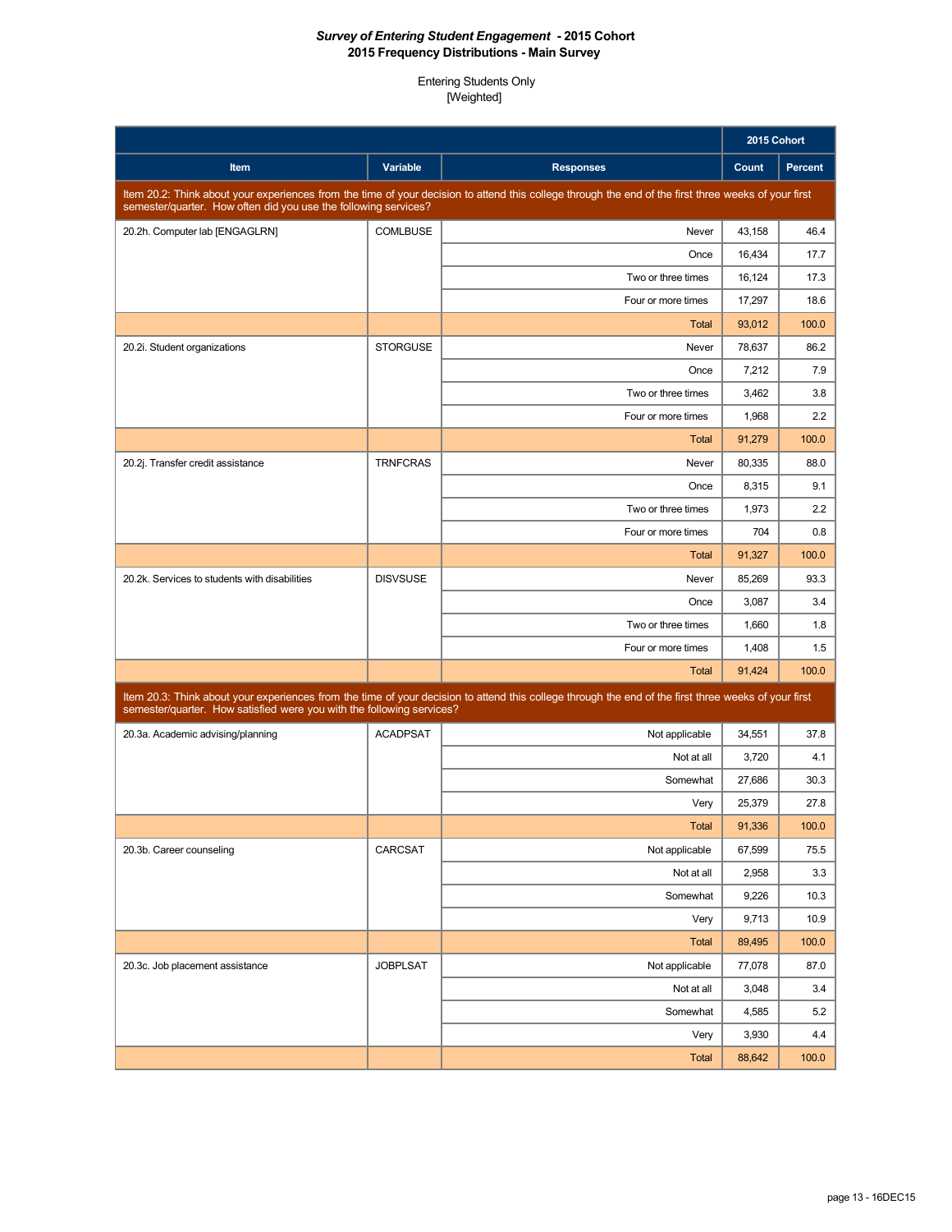|                                                                                                                                                                                                                         |                 |                                                                                                                                                      | 2015 Cohort |                |
|-------------------------------------------------------------------------------------------------------------------------------------------------------------------------------------------------------------------------|-----------------|------------------------------------------------------------------------------------------------------------------------------------------------------|-------------|----------------|
| Item                                                                                                                                                                                                                    | Variable        | <b>Responses</b>                                                                                                                                     | Count       | <b>Percent</b> |
| Item 20.2: Think about your experiences from the time of your decision to attend this college through the end of the first three weeks of your first<br>semester/quarter. How often did you use the following services? |                 |                                                                                                                                                      |             |                |
| 20.2h. Computer lab [ENGAGLRN]                                                                                                                                                                                          | <b>COMLBUSE</b> | Never                                                                                                                                                | 43,158      | 46.4           |
|                                                                                                                                                                                                                         |                 | Once                                                                                                                                                 | 16,434      | 17.7           |
|                                                                                                                                                                                                                         |                 | Two or three times                                                                                                                                   | 16,124      | 17.3           |
|                                                                                                                                                                                                                         |                 | Four or more times                                                                                                                                   | 17,297      | 18.6           |
|                                                                                                                                                                                                                         |                 | <b>Total</b>                                                                                                                                         | 93,012      | 100.0          |
| 20.2i. Student organizations                                                                                                                                                                                            | <b>STORGUSE</b> | Never                                                                                                                                                | 78,637      | 86.2           |
|                                                                                                                                                                                                                         |                 | Once                                                                                                                                                 | 7,212       | 7.9            |
|                                                                                                                                                                                                                         |                 | Two or three times                                                                                                                                   | 3,462       | 3.8            |
|                                                                                                                                                                                                                         |                 | Four or more times                                                                                                                                   | 1,968       | 2.2            |
|                                                                                                                                                                                                                         |                 | Total                                                                                                                                                | 91,279      | 100.0          |
| 20.2j. Transfer credit assistance                                                                                                                                                                                       | <b>TRNFCRAS</b> | Never                                                                                                                                                | 80.335      | 88.0           |
|                                                                                                                                                                                                                         |                 | Once                                                                                                                                                 | 8,315       | 9.1            |
|                                                                                                                                                                                                                         |                 | Two or three times                                                                                                                                   | 1,973       | 2.2            |
|                                                                                                                                                                                                                         |                 | Four or more times                                                                                                                                   | 704         | 0.8            |
|                                                                                                                                                                                                                         |                 | <b>Total</b>                                                                                                                                         | 91,327      | 100.0          |
| 20.2k. Services to students with disabilities                                                                                                                                                                           | <b>DISVSUSE</b> | Never                                                                                                                                                | 85,269      | 93.3           |
|                                                                                                                                                                                                                         |                 | Once                                                                                                                                                 | 3,087       | 3.4            |
|                                                                                                                                                                                                                         |                 | Two or three times                                                                                                                                   | 1,660       | 1.8            |
|                                                                                                                                                                                                                         |                 | Four or more times                                                                                                                                   | 1,408       | 1.5            |
|                                                                                                                                                                                                                         |                 | Total                                                                                                                                                | 91,424      | 100.0          |
| semester/quarter. How satisfied were you with the following services?                                                                                                                                                   |                 | Item 20.3: Think about your experiences from the time of your decision to attend this college through the end of the first three weeks of your first |             |                |
| 20.3a. Academic advising/planning                                                                                                                                                                                       | <b>ACADPSAT</b> | Not applicable                                                                                                                                       | 34.551      | 37.8           |
|                                                                                                                                                                                                                         |                 | Not at all                                                                                                                                           | 3,720       | 4.1            |
|                                                                                                                                                                                                                         |                 | Somewhat                                                                                                                                             | 27,686      | 30.3           |
|                                                                                                                                                                                                                         |                 | Very                                                                                                                                                 | 25.379      | 27.8           |
|                                                                                                                                                                                                                         |                 | <b>Total</b>                                                                                                                                         | 91,336      | 100.0          |
| 20.3b. Career counseling                                                                                                                                                                                                | CARCSAT         | Not applicable                                                                                                                                       | 67,599      | 75.5           |
|                                                                                                                                                                                                                         |                 | Not at all                                                                                                                                           | 2,958       | 3.3            |
|                                                                                                                                                                                                                         |                 | Somewhat                                                                                                                                             | 9,226       | 10.3           |
|                                                                                                                                                                                                                         |                 | Very                                                                                                                                                 | 9,713       | 10.9           |
|                                                                                                                                                                                                                         |                 | <b>Total</b>                                                                                                                                         | 89,495      | 100.0          |
| 20.3c. Job placement assistance                                                                                                                                                                                         | <b>JOBPLSAT</b> | Not applicable                                                                                                                                       | 77,078      | 87.0           |
|                                                                                                                                                                                                                         |                 | Not at all                                                                                                                                           | 3,048       | 3.4            |
|                                                                                                                                                                                                                         |                 | Somewhat                                                                                                                                             | 4,585       | 5.2            |
|                                                                                                                                                                                                                         |                 | Very                                                                                                                                                 | 3,930       | 4.4            |
|                                                                                                                                                                                                                         |                 | <b>Total</b>                                                                                                                                         | 88,642      | 100.0          |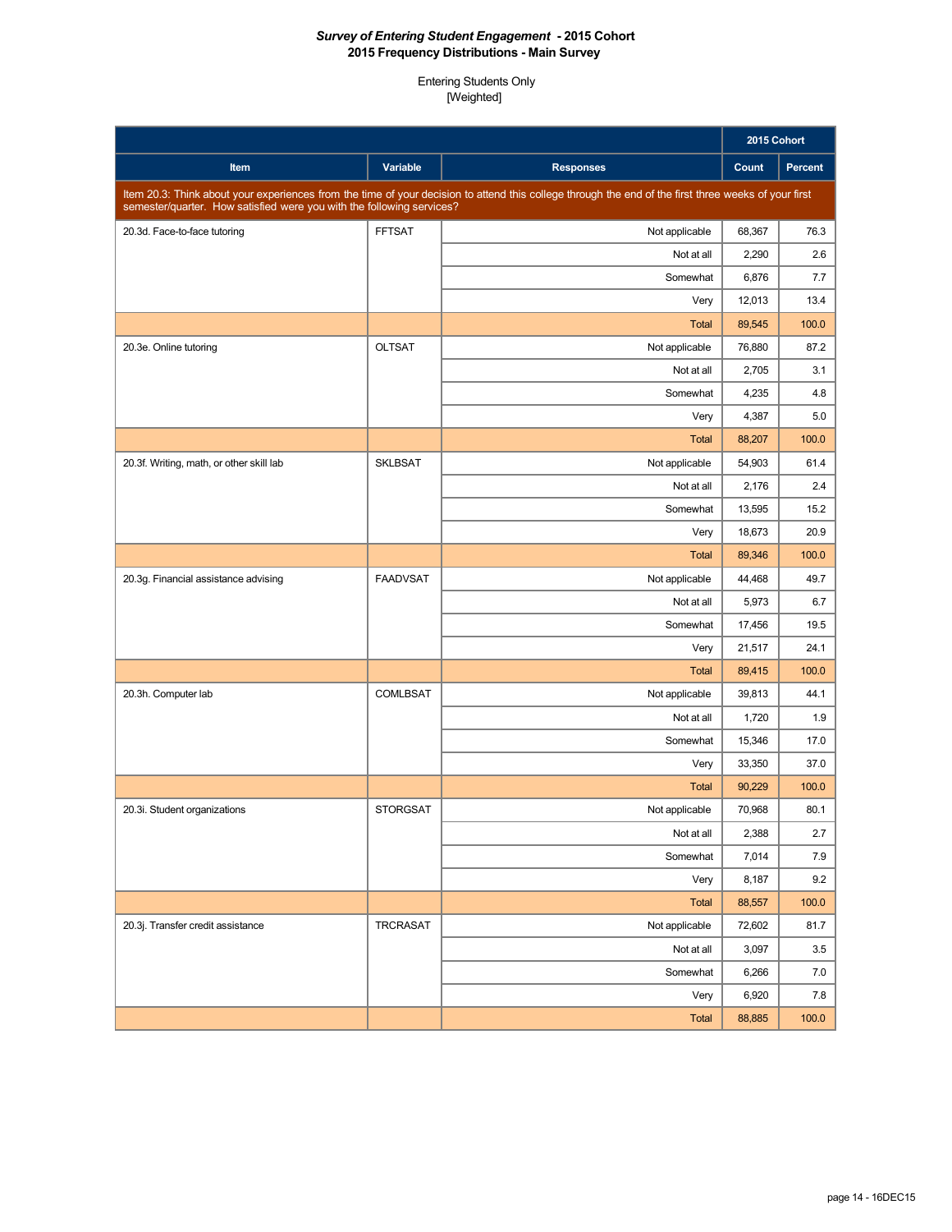|                                                                                                                                                                                                                               |                 |                  | 2015 Cohort |                |
|-------------------------------------------------------------------------------------------------------------------------------------------------------------------------------------------------------------------------------|-----------------|------------------|-------------|----------------|
| Item                                                                                                                                                                                                                          | <b>Variable</b> | <b>Responses</b> | Count       | <b>Percent</b> |
| Item 20.3: Think about your experiences from the time of your decision to attend this college through the end of the first three weeks of your first<br>semester/quarter. How satisfied were you with the following services? |                 |                  |             |                |
| 20.3d. Face-to-face tutoring                                                                                                                                                                                                  | <b>FFTSAT</b>   | Not applicable   | 68,367      | 76.3           |
|                                                                                                                                                                                                                               |                 | Not at all       | 2,290       | 2.6            |
|                                                                                                                                                                                                                               |                 | Somewhat         | 6,876       | 7.7            |
|                                                                                                                                                                                                                               |                 | Very             | 12,013      | 13.4           |
|                                                                                                                                                                                                                               |                 | <b>Total</b>     | 89,545      | 100.0          |
| 20.3e. Online tutoring                                                                                                                                                                                                        | <b>OLTSAT</b>   | Not applicable   | 76,880      | 87.2           |
|                                                                                                                                                                                                                               |                 | Not at all       | 2,705       | 3.1            |
|                                                                                                                                                                                                                               |                 | Somewhat         | 4,235       | 4.8            |
|                                                                                                                                                                                                                               |                 | Very             | 4,387       | 5.0            |
|                                                                                                                                                                                                                               |                 | <b>Total</b>     | 88,207      | 100.0          |
| 20.3f. Writing, math, or other skill lab                                                                                                                                                                                      | <b>SKLBSAT</b>  | Not applicable   | 54,903      | 61.4           |
|                                                                                                                                                                                                                               |                 | Not at all       | 2,176       | 2.4            |
|                                                                                                                                                                                                                               |                 | Somewhat         | 13,595      | 15.2           |
|                                                                                                                                                                                                                               |                 | Very             | 18,673      | 20.9           |
|                                                                                                                                                                                                                               |                 | <b>Total</b>     | 89,346      | 100.0          |
| 20.3g. Financial assistance advising                                                                                                                                                                                          | <b>FAADVSAT</b> | Not applicable   | 44,468      | 49.7           |
|                                                                                                                                                                                                                               |                 | Not at all       | 5,973       | 6.7            |
|                                                                                                                                                                                                                               |                 | Somewhat         | 17,456      | 19.5           |
|                                                                                                                                                                                                                               |                 | Very             | 21,517      | 24.1           |
|                                                                                                                                                                                                                               |                 | <b>Total</b>     | 89,415      | 100.0          |
| 20.3h. Computer lab                                                                                                                                                                                                           | <b>COMLBSAT</b> | Not applicable   | 39,813      | 44.1           |
|                                                                                                                                                                                                                               |                 | Not at all       | 1,720       | 1.9            |
|                                                                                                                                                                                                                               |                 | Somewhat         | 15,346      | 17.0           |
|                                                                                                                                                                                                                               |                 | Very             | 33,350      | 37.0           |
|                                                                                                                                                                                                                               |                 | <b>Total</b>     | 90,229      | 100.0          |
| 20.3i. Student organizations                                                                                                                                                                                                  | <b>STORGSAT</b> | Not applicable   | 70,968      | 80.1           |
|                                                                                                                                                                                                                               |                 | Not at all       | 2,388       | 2.7            |
|                                                                                                                                                                                                                               |                 | Somewhat         | 7,014       | 7.9            |
|                                                                                                                                                                                                                               |                 | Very             | 8,187       | 9.2            |
|                                                                                                                                                                                                                               |                 | <b>Total</b>     | 88,557      | 100.0          |
| 20.3j. Transfer credit assistance                                                                                                                                                                                             | TRCRASAT        | Not applicable   | 72,602      | 81.7           |
|                                                                                                                                                                                                                               |                 | Not at all       | 3,097       | 3.5            |
|                                                                                                                                                                                                                               |                 | Somewhat         | 6,266       | 7.0            |
|                                                                                                                                                                                                                               |                 | Very             | 6,920       | 7.8            |
|                                                                                                                                                                                                                               |                 | <b>Total</b>     | 88,885      | 100.0          |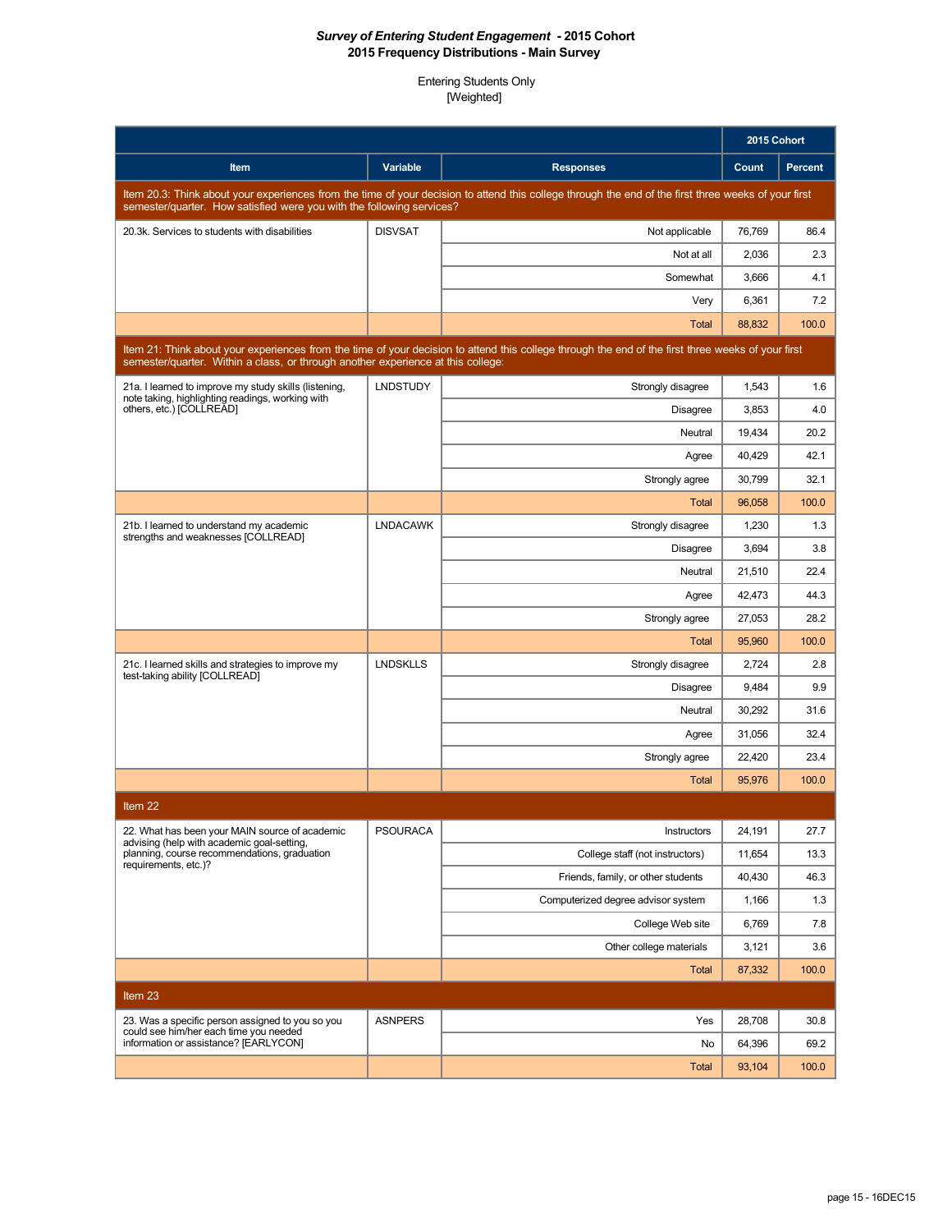|                                                                                                                                                                                                                               |                 |                                                                                                                                                    | 2015 Cohort |         |  |
|-------------------------------------------------------------------------------------------------------------------------------------------------------------------------------------------------------------------------------|-----------------|----------------------------------------------------------------------------------------------------------------------------------------------------|-------------|---------|--|
| Item                                                                                                                                                                                                                          | Variable        | <b>Responses</b>                                                                                                                                   | Count       | Percent |  |
| Item 20.3: Think about your experiences from the time of your decision to attend this college through the end of the first three weeks of your first<br>semester/quarter. How satisfied were you with the following services? |                 |                                                                                                                                                    |             |         |  |
| 20.3k. Services to students with disabilities                                                                                                                                                                                 | <b>DISVSAT</b>  | Not applicable                                                                                                                                     | 76,769      | 86.4    |  |
|                                                                                                                                                                                                                               |                 | Not at all                                                                                                                                         | 2,036       | 2.3     |  |
|                                                                                                                                                                                                                               |                 | Somewhat                                                                                                                                           | 3,666       | 4.1     |  |
|                                                                                                                                                                                                                               |                 | Very                                                                                                                                               | 6,361       | 7.2     |  |
|                                                                                                                                                                                                                               |                 | <b>Total</b>                                                                                                                                       | 88,832      | 100.0   |  |
| semester/quarter. Within a class, or through another experience at this college:                                                                                                                                              |                 | Item 21: Think about your experiences from the time of your decision to attend this college through the end of the first three weeks of your first |             |         |  |
| 21a. I learned to improve my study skills (listening,                                                                                                                                                                         | <b>LNDSTUDY</b> | Strongly disagree                                                                                                                                  | 1,543       | 1.6     |  |
| note taking, highlighting readings, working with<br>others, etc.) [COLLREAD]                                                                                                                                                  |                 | <b>Disagree</b>                                                                                                                                    | 3,853       | 4.0     |  |
|                                                                                                                                                                                                                               |                 | Neutral                                                                                                                                            | 19,434      | 20.2    |  |
|                                                                                                                                                                                                                               |                 | Agree                                                                                                                                              | 40,429      | 42.1    |  |
|                                                                                                                                                                                                                               |                 | Strongly agree                                                                                                                                     | 30,799      | 32.1    |  |
|                                                                                                                                                                                                                               |                 | Total                                                                                                                                              | 96,058      | 100.0   |  |
| 21b. I learned to understand my academic<br>strengths and weaknesses [COLLREAD]                                                                                                                                               | <b>LNDACAWK</b> | Strongly disagree                                                                                                                                  | 1,230       | 1.3     |  |
|                                                                                                                                                                                                                               |                 | <b>Disagree</b>                                                                                                                                    | 3,694       | 3.8     |  |
|                                                                                                                                                                                                                               |                 | Neutral                                                                                                                                            | 21,510      | 22.4    |  |
|                                                                                                                                                                                                                               |                 | Agree                                                                                                                                              | 42,473      | 44.3    |  |
|                                                                                                                                                                                                                               |                 | Strongly agree                                                                                                                                     | 27,053      | 28.2    |  |
|                                                                                                                                                                                                                               |                 | <b>Total</b>                                                                                                                                       | 95,960      | 100.0   |  |
| 21c. I learned skills and strategies to improve my<br>test-taking ability [COLLREAD]                                                                                                                                          | <b>LNDSKLLS</b> | Strongly disagree                                                                                                                                  | 2,724       | 2.8     |  |
|                                                                                                                                                                                                                               |                 | <b>Disagree</b>                                                                                                                                    | 9,484       | 9.9     |  |
|                                                                                                                                                                                                                               |                 | Neutral                                                                                                                                            | 30,292      | 31.6    |  |
|                                                                                                                                                                                                                               |                 | Agree                                                                                                                                              | 31,056      | 32.4    |  |
|                                                                                                                                                                                                                               |                 | Strongly agree                                                                                                                                     | 22,420      | 23.4    |  |
|                                                                                                                                                                                                                               |                 | Total                                                                                                                                              | 95,976      | 100.0   |  |
| Item 22                                                                                                                                                                                                                       |                 |                                                                                                                                                    |             |         |  |
| 22. What has been your MAIN source of academic<br>advising (help with academic goal-setting,                                                                                                                                  | <b>PSOURACA</b> | Instructors                                                                                                                                        | 24,191      | 27.7    |  |
| planning, course recommendations, graduation<br>requirements, etc.)?                                                                                                                                                          |                 | College staff (not instructors)                                                                                                                    | 11,654      | 13.3    |  |
|                                                                                                                                                                                                                               |                 | Friends, family, or other students                                                                                                                 | 40,430      | 46.3    |  |
|                                                                                                                                                                                                                               |                 | Computerized degree advisor system                                                                                                                 | 1,166       | 1.3     |  |
|                                                                                                                                                                                                                               |                 | College Web site                                                                                                                                   | 6,769       | 7.8     |  |
|                                                                                                                                                                                                                               |                 | Other college materials                                                                                                                            | 3,121       | 3.6     |  |
|                                                                                                                                                                                                                               |                 | Total                                                                                                                                              | 87,332      | 100.0   |  |
| Item 23                                                                                                                                                                                                                       |                 |                                                                                                                                                    |             |         |  |
| 23. Was a specific person assigned to you so you<br>could see him/her each time you needed                                                                                                                                    | <b>ASNPERS</b>  | Yes                                                                                                                                                | 28,708      | 30.8    |  |
| information or assistance? [EARLYCON]                                                                                                                                                                                         |                 | No                                                                                                                                                 | 64,396      | 69.2    |  |
|                                                                                                                                                                                                                               |                 | <b>Total</b>                                                                                                                                       | 93,104      | 100.0   |  |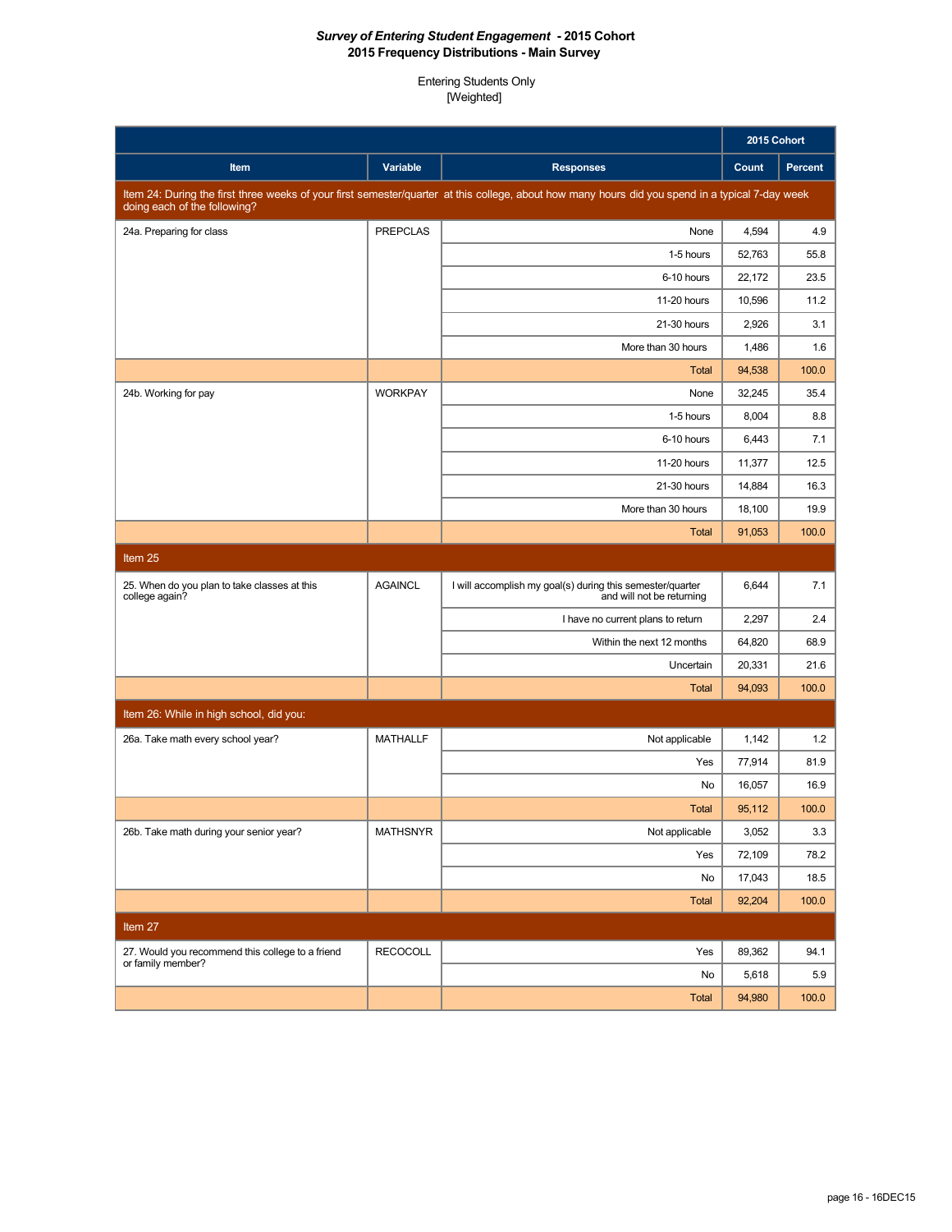|                                                                |                 |                                                                                                                                                  | 2015 Cohort |         |
|----------------------------------------------------------------|-----------------|--------------------------------------------------------------------------------------------------------------------------------------------------|-------------|---------|
| Item                                                           | Variable        | <b>Responses</b>                                                                                                                                 | Count       | Percent |
| doing each of the following?                                   |                 | Item 24: During the first three weeks of your first semester/quarter at this college, about how many hours did you spend in a typical 7-day week |             |         |
| 24a. Preparing for class                                       | <b>PREPCLAS</b> | None                                                                                                                                             | 4,594       | 4.9     |
|                                                                |                 | 1-5 hours                                                                                                                                        | 52,763      | 55.8    |
|                                                                |                 | 6-10 hours                                                                                                                                       | 22,172      | 23.5    |
|                                                                |                 | 11-20 hours                                                                                                                                      | 10,596      | 11.2    |
|                                                                |                 | 21-30 hours                                                                                                                                      | 2,926       | 3.1     |
|                                                                |                 | More than 30 hours                                                                                                                               | 1,486       | 1.6     |
|                                                                |                 | <b>Total</b>                                                                                                                                     | 94,538      | 100.0   |
| 24b. Working for pay                                           | <b>WORKPAY</b>  | None                                                                                                                                             | 32,245      | 35.4    |
|                                                                |                 | 1-5 hours                                                                                                                                        | 8,004       | 8.8     |
|                                                                |                 | 6-10 hours                                                                                                                                       | 6,443       | 7.1     |
|                                                                |                 | 11-20 hours                                                                                                                                      | 11,377      | 12.5    |
|                                                                |                 | 21-30 hours                                                                                                                                      | 14,884      | 16.3    |
|                                                                |                 | More than 30 hours                                                                                                                               | 18,100      | 19.9    |
|                                                                |                 | Total                                                                                                                                            | 91,053      | 100.0   |
| Item 25                                                        |                 |                                                                                                                                                  |             |         |
| 25. When do you plan to take classes at this<br>college again? | <b>AGAINCL</b>  | I will accomplish my goal(s) during this semester/quarter<br>and will not be returning                                                           | 6,644       | 7.1     |
|                                                                |                 | I have no current plans to return                                                                                                                | 2,297       | 2.4     |
|                                                                |                 | Within the next 12 months                                                                                                                        | 64,820      | 68.9    |
|                                                                |                 | Uncertain                                                                                                                                        | 20,331      | 21.6    |
|                                                                |                 | Total                                                                                                                                            | 94,093      | 100.0   |
| Item 26: While in high school, did you:                        |                 |                                                                                                                                                  |             |         |
| 26a. Take math every school year?                              | <b>MATHALLF</b> | Not applicable                                                                                                                                   | 1,142       | 1.2     |
|                                                                |                 | Yes                                                                                                                                              | 77,914      | 81.9    |
|                                                                |                 | No                                                                                                                                               | 16,057      | 16.9    |
|                                                                |                 | <b>Total</b>                                                                                                                                     | 95.112      | 100.0   |
| 26b. Take math during your senior year?                        | <b>MATHSNYR</b> | Not applicable                                                                                                                                   | 3,052       | 3.3     |
|                                                                |                 | Yes                                                                                                                                              | 72,109      | 78.2    |
|                                                                |                 | No                                                                                                                                               | 17,043      | 18.5    |
|                                                                |                 | Total                                                                                                                                            | 92,204      | 100.0   |
| Item 27                                                        |                 |                                                                                                                                                  |             |         |
| 27. Would you recommend this college to a friend               | <b>RECOCOLL</b> | Yes                                                                                                                                              | 89,362      | 94.1    |
| or family member?                                              |                 | No                                                                                                                                               | 5,618       | 5.9     |
|                                                                |                 | Total                                                                                                                                            | 94,980      | 100.0   |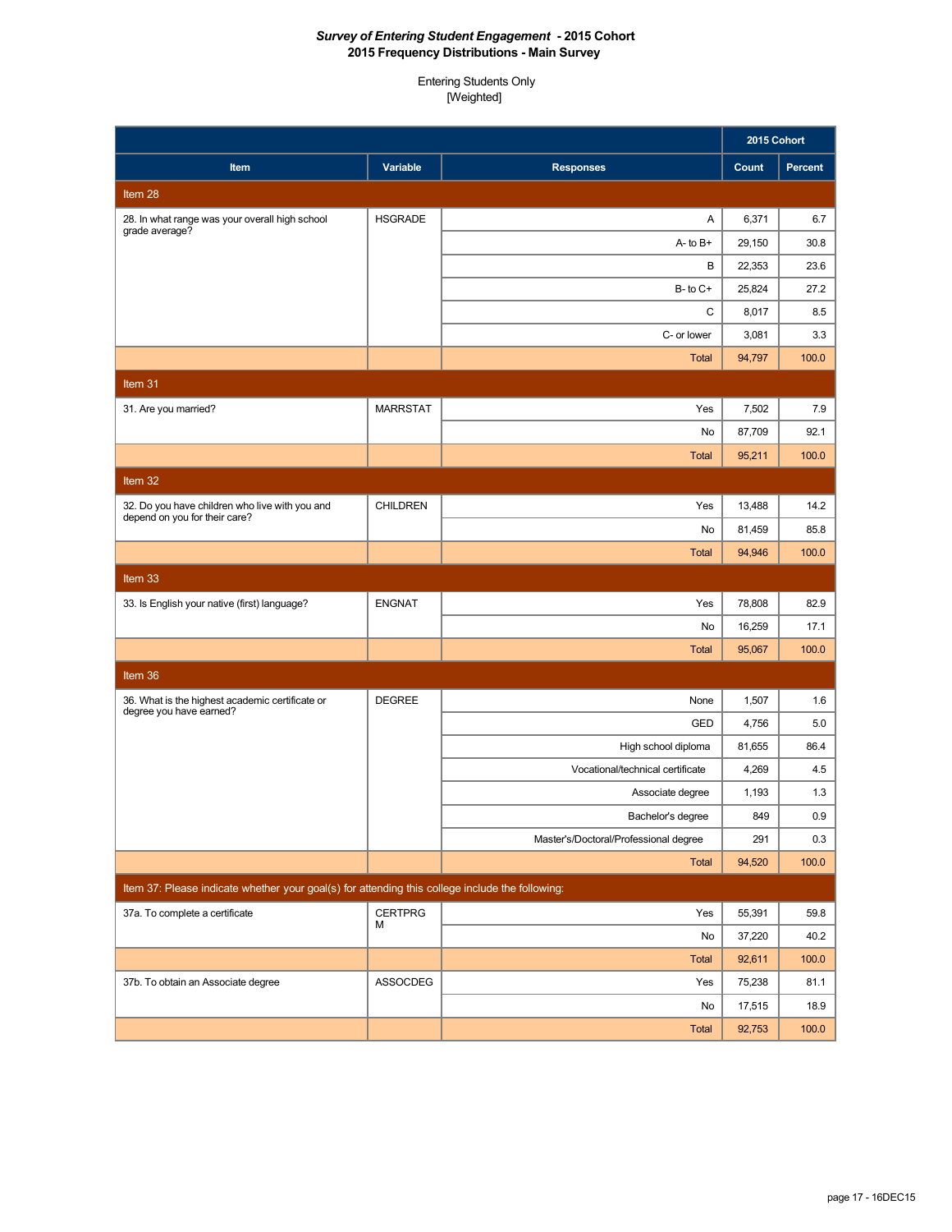|                                                                                                 |                     |                                       | 2015 Cohort |         |
|-------------------------------------------------------------------------------------------------|---------------------|---------------------------------------|-------------|---------|
| Item                                                                                            | Variable            | <b>Responses</b>                      | Count       | Percent |
| Item 28                                                                                         |                     |                                       |             |         |
| 28. In what range was your overall high school<br>grade average?                                | <b>HSGRADE</b>      | Α                                     | 6,371       | 6.7     |
|                                                                                                 |                     | $A - to B +$                          | 29,150      | 30.8    |
|                                                                                                 |                     | В                                     | 22,353      | 23.6    |
|                                                                                                 |                     | $B$ - to $C$ +                        | 25,824      | 27.2    |
|                                                                                                 |                     | C                                     | 8,017       | 8.5     |
|                                                                                                 |                     | C- or lower                           | 3,081       | 3.3     |
|                                                                                                 |                     | <b>Total</b>                          | 94,797      | 100.0   |
| Item 31                                                                                         |                     |                                       |             |         |
| 31. Are you married?                                                                            | <b>MARRSTAT</b>     | Yes                                   | 7,502       | 7.9     |
|                                                                                                 |                     | No                                    | 87,709      | 92.1    |
|                                                                                                 |                     | <b>Total</b>                          | 95,211      | 100.0   |
| Item 32                                                                                         |                     |                                       |             |         |
| 32. Do you have children who live with you and<br>depend on you for their care?                 | <b>CHILDREN</b>     | Yes                                   | 13,488      | 14.2    |
|                                                                                                 |                     | No                                    | 81,459      | 85.8    |
|                                                                                                 |                     | <b>Total</b>                          | 94.946      | 100.0   |
| Item 33                                                                                         |                     |                                       |             |         |
| 33. Is English your native (first) language?                                                    | <b>ENGNAT</b>       | Yes                                   | 78,808      | 82.9    |
|                                                                                                 |                     | No                                    | 16,259      | 17.1    |
|                                                                                                 |                     | <b>Total</b>                          | 95,067      | 100.0   |
| Item 36                                                                                         |                     |                                       |             |         |
| 36. What is the highest academic certificate or<br>degree you have earned?                      | <b>DEGREE</b>       | None                                  | 1,507       | 1.6     |
|                                                                                                 |                     | GED                                   | 4,756       | 5.0     |
|                                                                                                 |                     | High school diploma                   | 81,655      | 86.4    |
|                                                                                                 |                     | Vocational/technical certificate      | 4,269       | 4.5     |
|                                                                                                 |                     | Associate degree                      | 1,193       | 1.3     |
|                                                                                                 |                     | Bachelor's degree                     | 849         | 0.9     |
|                                                                                                 |                     | Master's/Doctoral/Professional degree | 291         | 0.3     |
|                                                                                                 |                     | Total                                 | 94,520      | 100.0   |
| Item 37: Please indicate whether your goal(s) for attending this college include the following: |                     |                                       |             |         |
| 37a. To complete a certificate                                                                  | <b>CERTPRG</b><br>M | Yes                                   | 55,391      | 59.8    |
|                                                                                                 |                     | No                                    | 37,220      | 40.2    |
|                                                                                                 |                     | <b>Total</b>                          | 92,611      | 100.0   |
| 37b. To obtain an Associate degree                                                              | ASSOCDEG            | Yes                                   | 75,238      | 81.1    |
|                                                                                                 |                     | No                                    | 17,515      | 18.9    |
|                                                                                                 |                     | Total                                 | 92,753      | 100.0   |